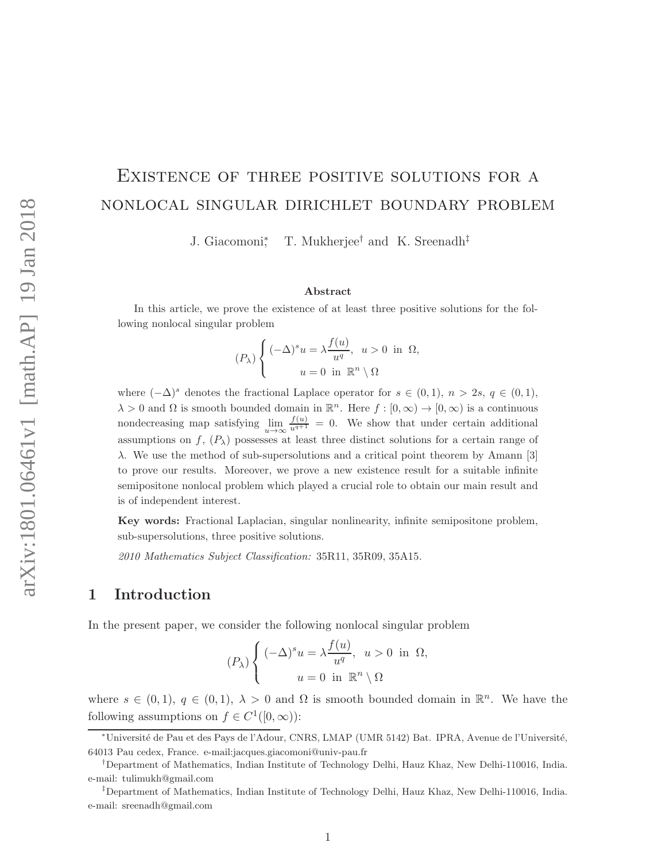# Existence of three positive solutions for a nonlocal singular dirichlet boundary problem

J. Giacomoni<sup>∗</sup> , T. Mukherjee† and K. Sreenadh‡

#### Abstract

In this article, we prove the existence of at least three positive solutions for the following nonlocal singular problem

$$
(P_{\lambda})\begin{cases} (-\Delta)^{s}u = \lambda \frac{f(u)}{u^{q}}, u > 0 \text{ in } \Omega, \\ u = 0 \text{ in } \mathbb{R}^{n} \setminus \Omega \end{cases}
$$

where  $(-\Delta)^s$  denotes the fractional Laplace operator for  $s \in (0,1)$ ,  $n > 2s$ ,  $q \in (0,1)$ ,  $\lambda > 0$  and  $\Omega$  is smooth bounded domain in  $\mathbb{R}^n$ . Here  $f : [0, \infty) \to [0, \infty)$  is a continuous nondecreasing map satisfying  $\lim_{u\to\infty} \frac{f(u)}{u^{q+1}} = 0$ . We show that under certain additional assumptions on  $f, (P_\lambda)$  possesses at least three distinct solutions for a certain range of  $\lambda$ . We use the method of sub-supersolutions and a critical point theorem by Amann [3] to prove our results. Moreover, we prove a new existence result for a suitable infinite semipositone nonlocal problem which played a crucial role to obtain our main result and is of independent interest.

Key words: Fractional Laplacian, singular nonlinearity, infinite semipositone problem, sub-supersolutions, three positive solutions.

2010 Mathematics Subject Classification: 35R11, 35R09, 35A15.

### 1 Introduction

In the present paper, we consider the following nonlocal singular problem

$$
(P_{\lambda})\begin{cases} (-\Delta)^{s}u = \lambda \frac{f(u)}{u^{q}}, u > 0 \text{ in } \Omega, \\ u = 0 \text{ in } \mathbb{R}^{n} \setminus \Omega \end{cases}
$$

where  $s \in (0,1)$ ,  $q \in (0,1)$ ,  $\lambda > 0$  and  $\Omega$  is smooth bounded domain in  $\mathbb{R}^n$ . We have the following assumptions on  $f \in C^1([0,\infty))$ :

<sup>∗</sup>Universit´e de Pau et des Pays de l'Adour, CNRS, LMAP (UMR 5142) Bat. IPRA, Avenue de l'Universit´e, 64013 Pau cedex, France. e-mail:jacques.giacomoni@univ-pau.fr

<sup>†</sup>Department of Mathematics, Indian Institute of Technology Delhi, Hauz Khaz, New Delhi-110016, India. e-mail: tulimukh@gmail.com

<sup>‡</sup>Department of Mathematics, Indian Institute of Technology Delhi, Hauz Khaz, New Delhi-110016, India. e-mail: sreenadh@gmail.com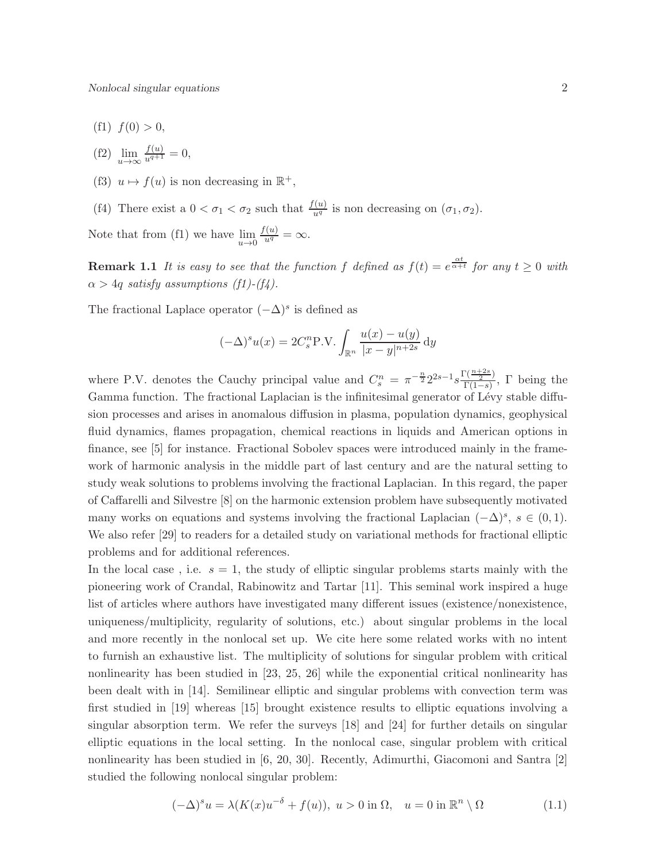- (f1)  $f(0) > 0$ ,
- (f2)  $\lim_{u \to \infty} \frac{f(u)}{u^{q+1}} = 0,$
- (f3)  $u \mapsto f(u)$  is non decreasing in  $\mathbb{R}^+$ ,
- (f4) There exist a  $0 < \sigma_1 < \sigma_2$  such that  $\frac{f(u)}{u^q}$  is non decreasing on  $(\sigma_1, \sigma_2)$ .

Note that from (f1) we have  $\lim_{u\to 0}$  $\frac{f(u)}{u^q} = \infty.$ 

**Remark 1.1** It is easy to see that the function f defined as  $f(t) = e^{\frac{\alpha t}{\alpha + t}}$  for any  $t \ge 0$  with  $\alpha > 4q$  satisfy assumptions (f1)-(f4).

The fractional Laplace operator  $(-\Delta)^s$  is defined as

$$
(-\Delta)^s u(x) = 2C_s^n P.V. \int_{\mathbb{R}^n} \frac{u(x) - u(y)}{|x - y|^{n+2s}} dy
$$

where P.V. denotes the Cauchy principal value and  $C_s^n = \pi^{-\frac{n}{2}} 2^{2s-1} s \frac{\Gamma(\frac{n+2s}{2})}{\Gamma(1-s)}$  $\frac{\Gamma(\frac{2}{2})}{\Gamma(1-s)}$ ,  $\Gamma$  being the Gamma function. The fractional Laplacian is the infinitesimal generator of Lévy stable diffusion processes and arises in anomalous diffusion in plasma, population dynamics, geophysical fluid dynamics, flames propagation, chemical reactions in liquids and American options in finance, see [5] for instance. Fractional Sobolev spaces were introduced mainly in the framework of harmonic analysis in the middle part of last century and are the natural setting to study weak solutions to problems involving the fractional Laplacian. In this regard, the paper of Caffarelli and Silvestre [8] on the harmonic extension problem have subsequently motivated many works on equations and systems involving the fractional Laplacian  $(-\Delta)^s$ ,  $s \in (0,1)$ . We also refer [29] to readers for a detailed study on variational methods for fractional elliptic problems and for additional references.

In the local case, i.e.  $s = 1$ , the study of elliptic singular problems starts mainly with the pioneering work of Crandal, Rabinowitz and Tartar [11]. This seminal work inspired a huge list of articles where authors have investigated many different issues (existence/nonexistence, uniqueness/multiplicity, regularity of solutions, etc.) about singular problems in the local and more recently in the nonlocal set up. We cite here some related works with no intent to furnish an exhaustive list. The multiplicity of solutions for singular problem with critical nonlinearity has been studied in [23, 25, 26] while the exponential critical nonlinearity has been dealt with in [14]. Semilinear elliptic and singular problems with convection term was first studied in [19] whereas [15] brought existence results to elliptic equations involving a singular absorption term. We refer the surveys [18] and [24] for further details on singular elliptic equations in the local setting. In the nonlocal case, singular problem with critical nonlinearity has been studied in [6, 20, 30]. Recently, Adimurthi, Giacomoni and Santra [2] studied the following nonlocal singular problem:

$$
(-\Delta)^s u = \lambda(K(x)u^{-\delta} + f(u)), \ u > 0 \text{ in } \Omega, \quad u = 0 \text{ in } \mathbb{R}^n \setminus \Omega \tag{1.1}
$$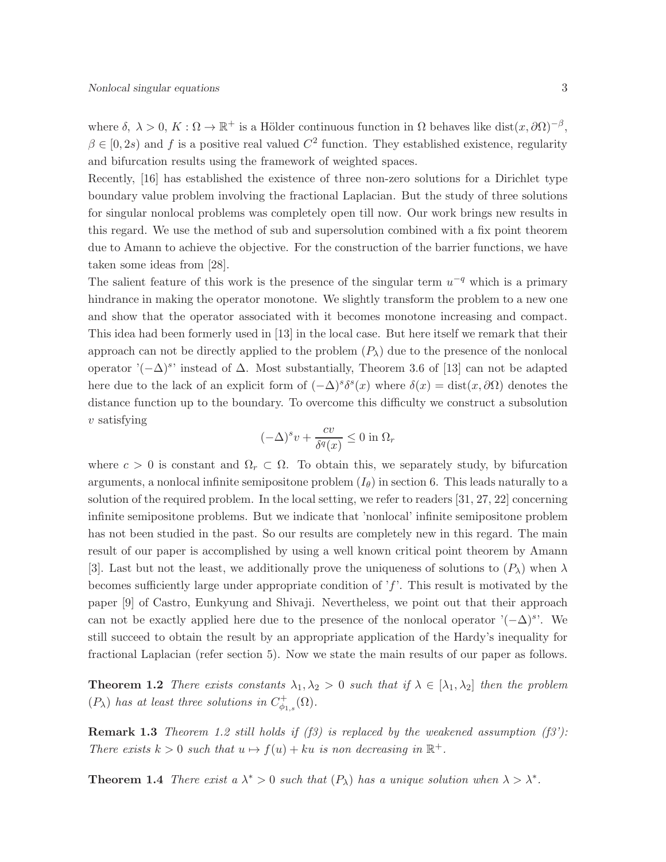where  $\delta, \ \lambda > 0, K : \Omega \to \mathbb{R}^+$  is a Hölder continuous function in  $\Omega$  behaves like dist $(x, \partial \Omega)^{-\beta}$ ,  $\beta \in [0, 2s)$  and f is a positive real valued  $C^2$  function. They established existence, regularity and bifurcation results using the framework of weighted spaces.

Recently, [16] has established the existence of three non-zero solutions for a Dirichlet type boundary value problem involving the fractional Laplacian. But the study of three solutions for singular nonlocal problems was completely open till now. Our work brings new results in this regard. We use the method of sub and supersolution combined with a fix point theorem due to Amann to achieve the objective. For the construction of the barrier functions, we have taken some ideas from [28].

The salient feature of this work is the presence of the singular term  $u^{-q}$  which is a primary hindrance in making the operator monotone. We slightly transform the problem to a new one and show that the operator associated with it becomes monotone increasing and compact. This idea had been formerly used in [13] in the local case. But here itself we remark that their approach can not be directly applied to the problem  $(P_\lambda)$  due to the presence of the nonlocal operator ' $(-\Delta)^s$ ' instead of  $\Delta$ . Most substantially, Theorem 3.6 of [13] can not be adapted here due to the lack of an explicit form of  $(-\Delta)^s \delta^s(x)$  where  $\delta(x) = \text{dist}(x, \partial \Omega)$  denotes the distance function up to the boundary. To overcome this difficulty we construct a subsolution  $v$  satisfying

$$
(-\Delta)^s v + \frac{cv}{\delta^q(x)} \le 0 \text{ in } \Omega_r
$$

where  $c > 0$  is constant and  $\Omega_r \subset \Omega$ . To obtain this, we separately study, by bifurcation arguments, a nonlocal infinite semipositone problem  $(I_{\theta})$  in section 6. This leads naturally to a solution of the required problem. In the local setting, we refer to readers [31, 27, 22] concerning infinite semipositone problems. But we indicate that 'nonlocal' infinite semipositone problem has not been studied in the past. So our results are completely new in this regard. The main result of our paper is accomplished by using a well known critical point theorem by Amann [3]. Last but not the least, we additionally prove the uniqueness of solutions to  $(P_\lambda)$  when  $\lambda$ becomes sufficiently large under appropriate condition of  $f$ . This result is motivated by the paper [9] of Castro, Eunkyung and Shivaji. Nevertheless, we point out that their approach can not be exactly applied here due to the presence of the nonlocal operator  $'(-\Delta)^s$ . We still succeed to obtain the result by an appropriate application of the Hardy's inequality for fractional Laplacian (refer section 5). Now we state the main results of our paper as follows.

**Theorem 1.2** There exists constants  $\lambda_1, \lambda_2 > 0$  such that if  $\lambda \in [\lambda_1, \lambda_2]$  then the problem  $(P_{\lambda})$  has at least three solutions in  $C^+_{\phi_{1,s}}(\Omega)$ .

**Remark 1.3** Theorem 1.2 still holds if (f3) is replaced by the weakened assumption (f3'): There exists  $k > 0$  such that  $u \mapsto f(u) + ku$  is non decreasing in  $\mathbb{R}^+$ .

**Theorem 1.4** There exist a  $\lambda^* > 0$  such that  $(P_{\lambda})$  has a unique solution when  $\lambda > \lambda^*$ .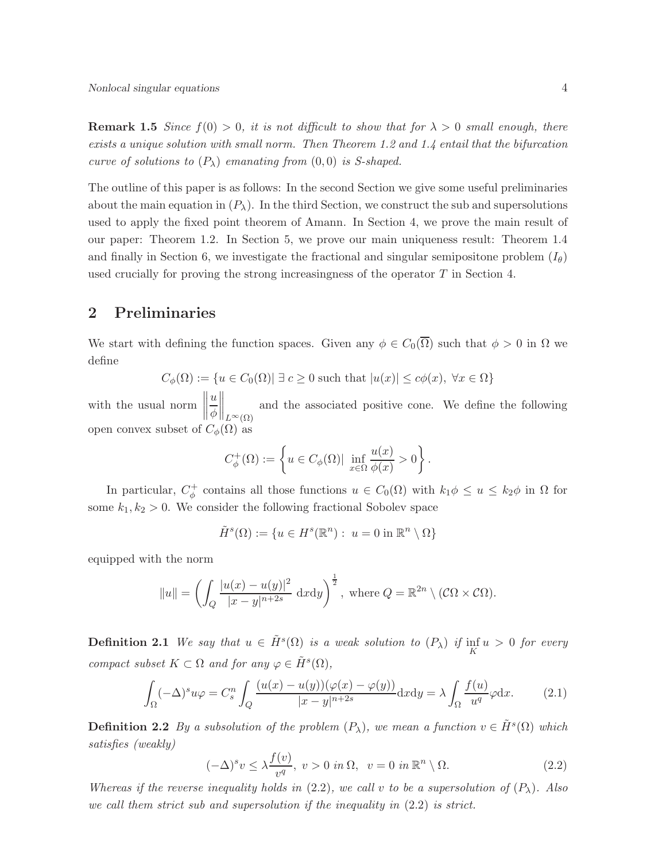**Remark 1.5** Since  $f(0) > 0$ , it is not difficult to show that for  $\lambda > 0$  small enough, there exists a unique solution with small norm. Then Theorem 1.2 and 1.4 entail that the bifurcation curve of solutions to  $(P_{\lambda})$  emanating from  $(0,0)$  is S-shaped.

The outline of this paper is as follows: In the second Section we give some useful preliminaries about the main equation in  $(P_\lambda)$ . In the third Section, we construct the sub and supersolutions used to apply the fixed point theorem of Amann. In Section 4, we prove the main result of our paper: Theorem 1.2. In Section 5, we prove our main uniqueness result: Theorem 1.4 and finally in Section 6, we investigate the fractional and singular semipositone problem  $(I_{\theta})$ used crucially for proving the strong increasingness of the operator  $T$  in Section 4.

## 2 Preliminaries

We start with defining the function spaces. Given any  $\phi \in C_0(\overline{\Omega})$  such that  $\phi > 0$  in  $\Omega$  we define

$$
C_{\phi}(\Omega) := \{ u \in C_0(\Omega) | \exists c \ge 0 \text{ such that } |u(x)| \le c\phi(x), \ \forall x \in \Omega \}
$$

with the usual norm  $\left\| \right\|$ u φ  $\Big\|_{L^{\infty}(\Omega)}$ and the associated positive cone. We define the following open convex subset of  $C_{\phi}(\Omega)$  as

$$
C_{\phi}^+(\Omega):=\left\{u\in C_{\phi}(\Omega)|\ \inf_{x\in\Omega}\frac{u(x)}{\phi(x)}>0\right\}.
$$

In particular,  $C_{\phi}^+$  contains all those functions  $u \in C_0(\Omega)$  with  $k_1 \phi \leq u \leq k_2 \phi$  in  $\Omega$  for some  $k_1, k_2 > 0$ . We consider the following fractional Sobolev space

$$
\tilde{H}^s(\Omega) := \{ u \in H^s(\mathbb{R}^n) : u = 0 \text{ in } \mathbb{R}^n \setminus \Omega \}
$$

equipped with the norm

$$
||u|| = \left(\int_Q \frac{|u(x) - u(y)|^2}{|x - y|^{n+2s}} \, \mathrm{d}x \mathrm{d}y\right)^{\frac{1}{2}}, \text{ where } Q = \mathbb{R}^{2n} \setminus (\mathcal{C}\Omega \times \mathcal{C}\Omega).
$$

**Definition 2.1** We say that  $u \in \tilde{H}^s(\Omega)$  is a weak solution to  $(P_\lambda)$  if  $\inf_K u > 0$  for every compact subset  $K \subset \Omega$  and for any  $\varphi \in \tilde{H}^s(\Omega)$ ,

$$
\int_{\Omega} (-\Delta)^s u \varphi = C_s^n \int_Q \frac{(u(x) - u(y))(\varphi(x) - \varphi(y))}{|x - y|^{n+2s}} dx dy = \lambda \int_{\Omega} \frac{f(u)}{u^q} \varphi dx.
$$
 (2.1)

**Definition 2.2** By a subsolution of the problem  $(P_\lambda)$ , we mean a function  $v \in \tilde{H}^s(\Omega)$  which satisfies (weakly)

$$
(-\Delta)^s v \le \lambda \frac{f(v)}{v^q}, \ v > 0 \ in \ \Omega, \ \ v = 0 \ in \ \mathbb{R}^n \setminus \Omega. \tag{2.2}
$$

Whereas if the reverse inequality holds in  $(2.2)$ , we call v to be a supersolution of  $(P_\lambda)$ . Also we call them strict sub and supersolution if the inequality in (2.2) is strict.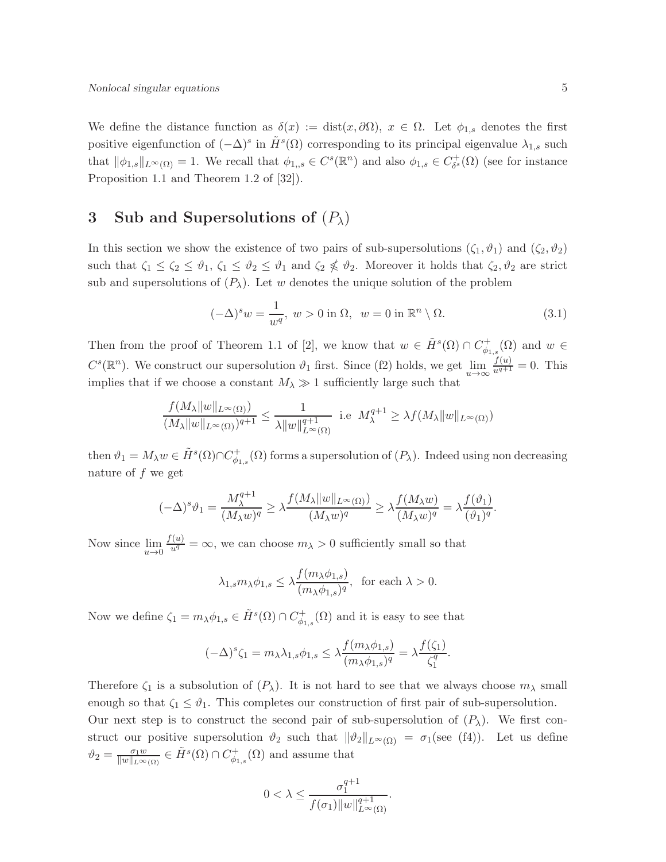We define the distance function as  $\delta(x) := \text{dist}(x, \partial \Omega)$ ,  $x \in \Omega$ . Let  $\phi_{1,s}$  denotes the first positive eigenfunction of  $(-\Delta)^s$  in  $\tilde{H}^s(\Omega)$  corresponding to its principal eigenvalue  $\lambda_{1,s}$  such that  $\|\phi_{1,s}\|_{L^{\infty}(\Omega)} = 1$ . We recall that  $\phi_{1,s} \in C^{s}(\mathbb{R}^{n})$  and also  $\phi_{1,s} \in C_{\delta^{s}}^{+}$  $\delta^*$  ( $\Omega$ ) (see for instance Proposition 1.1 and Theorem 1.2 of [32]).

# 3 Sub and Supersolutions of  $(P_\lambda)$

In this section we show the existence of two pairs of sub-supersolutions  $(\zeta_1, \vartheta_1)$  and  $(\zeta_2, \vartheta_2)$ such that  $\zeta_1 \leq \zeta_2 \leq \vartheta_1$ ,  $\zeta_1 \leq \vartheta_2 \leq \vartheta_1$  and  $\zeta_2 \notin \vartheta_2$ . Moreover it holds that  $\zeta_2, \vartheta_2$  are strict sub and supersolutions of  $(P_\lambda)$ . Let w denotes the unique solution of the problem

$$
(-\Delta)^s w = \frac{1}{w^q}, \ w > 0 \text{ in } \Omega, \ w = 0 \text{ in } \mathbb{R}^n \setminus \Omega. \tag{3.1}
$$

Then from the proof of Theorem 1.1 of [2], we know that  $w \in \tilde{H}^s(\Omega) \cap C^+_{\phi}$  $\psi_{1,s}^+(\Omega)$  and  $w \in$  $C^{s}(\mathbb{R}^{n})$ . We construct our supersolution  $\vartheta_1$  first. Since (f2) holds, we get  $\lim_{u\to\infty}\frac{f(u)}{u^{q+1}}=0$ . This implies that if we choose a constant  $M_{\lambda} \gg 1$  sufficiently large such that

$$
\frac{f(M_{\lambda}||w||_{L^{\infty}(\Omega)})}{(M_{\lambda}||w||_{L^{\infty}(\Omega)})^{q+1}} \le \frac{1}{\lambda ||w||_{L^{\infty}(\Omega)}^{q+1}} \text{ i.e } M_{\lambda}^{q+1} \ge \lambda f(M_{\lambda}||w||_{L^{\infty}(\Omega)})
$$

then  $\vartheta_1 = M_\lambda w \in \tilde{H}^s(\Omega) \cap C^+_{\phi_1}$  $\phi_{\phi_{1,s}}^{\dagger}(\Omega)$  forms a supersolution of  $(P_{\lambda})$ . Indeed using non decreasing nature of  $f$  we get

$$
(-\Delta)^s \vartheta_1 = \frac{M_{\lambda}^{q+1}}{(M_{\lambda}w)^q} \ge \lambda \frac{f(M_{\lambda} \|w\|_{L^{\infty}(\Omega)})}{(M_{\lambda}w)^q} \ge \lambda \frac{f(M_{\lambda}w)}{(M_{\lambda}w)^q} = \lambda \frac{f(\vartheta_1)}{(\vartheta_1)^q}.
$$

Now since  $\lim_{u\to 0}$  $\frac{f(u)}{u^q} = \infty$ , we can choose  $m_\lambda > 0$  sufficiently small so that

$$
\lambda_{1,s} m_{\lambda} \phi_{1,s} \leq \lambda \frac{f(m_{\lambda} \phi_{1,s})}{(m_{\lambda} \phi_{1,s})^q}, \text{ for each } \lambda > 0.
$$

Now we define  $\zeta_1 = m_{\lambda} \phi_{1,s} \in \tilde{H}^s(\Omega) \cap C^+_{\phi_{1,s}}(\Omega)$  and it is easy to see that

$$
(-\Delta)^s \zeta_1 = m_\lambda \lambda_{1,s} \phi_{1,s} \le \lambda \frac{f(m_\lambda \phi_{1,s})}{(m_\lambda \phi_{1,s})^q} = \lambda \frac{f(\zeta_1)}{\zeta_1^q}.
$$

Therefore  $\zeta_1$  is a subsolution of  $(P_\lambda)$ . It is not hard to see that we always choose  $m_\lambda$  small enough so that  $\zeta_1 \leq \vartheta_1$ . This completes our construction of first pair of sub-supersolution. Our next step is to construct the second pair of sub-supersolution of  $(P_\lambda)$ . We first construct our positive supersolution  $\vartheta_2$  such that  $\|\vartheta_2\|_{L^{\infty}(\Omega)} = \sigma_1(\text{see (f4)}).$  Let us define  $\vartheta_2 = \frac{\sigma_1 w}{\|w\|_{L^\infty}}$  $\frac{\sigma_1 w}{\|w\|_{L^\infty(\Omega)}} \in \tilde{H}^s(\Omega) \cap C_{\phi_1}^+$  $\psi_{1,s}^+(\Omega)$  and assume that

$$
0<\lambda\leq\frac{\sigma_1^{q+1}}{f(\sigma_1)\|w\|_{L^\infty(\Omega)}^{q+1}}.
$$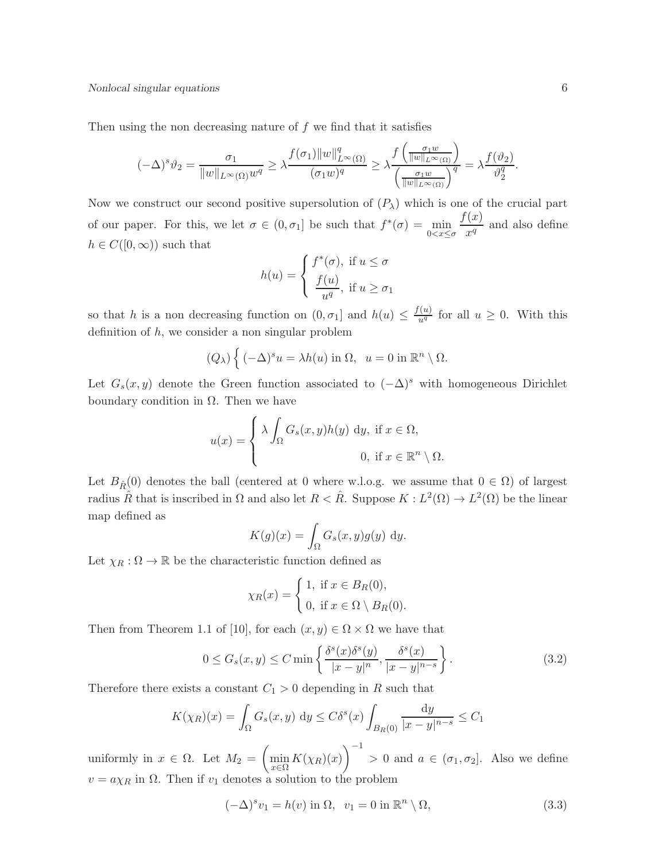Then using the non decreasing nature of  $f$  we find that it satisfies

$$
(-\Delta)^s \vartheta_2 = \frac{\sigma_1}{\|w\|_{L^\infty(\Omega)} w^q} \ge \lambda \frac{f(\sigma_1) \|w\|_{L^\infty(\Omega)}^q}{(\sigma_1 w)^q} \ge \lambda \frac{f\left(\frac{\sigma_1 w}{\|w\|_{L^\infty(\Omega)}}\right)}{\left(\frac{\sigma_1 w}{\|w\|_{L^\infty(\Omega)}}\right)^q} = \lambda \frac{f(\vartheta_2)}{\vartheta_2^q}.
$$

Now we construct our second positive supersolution of  $(P_\lambda)$  which is one of the crucial part of our paper. For this, we let  $\sigma \in (0, \sigma_1]$  be such that  $f^*(\sigma) = \min_{0 \le x \le \sigma}$  $f(x)$  $\frac{a}{x^q}$  and also define  $h \in C([0,\infty))$  such that

$$
h(u) = \begin{cases} f^*(\sigma), & \text{if } u \le \sigma \\ \frac{f(u)}{u^q}, & \text{if } u \ge \sigma_1 \end{cases}
$$

so that h is a non decreasing function on  $(0, \sigma_1]$  and  $h(u) \leq \frac{f(u)}{u^q}$  for all  $u \geq 0$ . With this definition of  $h$ , we consider a non singular problem

$$
(Q_{\lambda})\left\{(-\Delta)^{s} u = \lambda h(u) \text{ in } \Omega, \ u = 0 \text{ in } \mathbb{R}^{n} \setminus \Omega.
$$

Let  $G_s(x, y)$  denote the Green function associated to  $(-\Delta)^s$  with homogeneous Dirichlet boundary condition in  $\Omega$ . Then we have

$$
u(x) = \begin{cases} \lambda \int_{\Omega} G_s(x, y) h(y) \, dy, & \text{if } x \in \Omega, \\ 0, & \text{if } x \in \mathbb{R}^n \setminus \Omega. \end{cases}
$$

Let  $B_{\hat{B}}(0)$  denotes the ball (centered at 0 where w.l.o.g. we assume that  $0 \in \Omega$ ) of largest radius  $\hat{R}$  that is inscribed in  $\Omega$  and also let  $R < \hat{R}$ . Suppose  $K : L^2(\Omega) \to L^2(\Omega)$  be the linear map defined as

$$
K(g)(x) = \int_{\Omega} G_s(x, y)g(y) \, dy.
$$

Let  $\chi_R:\Omega\to\mathbb{R}$  be the characteristic function defined as

$$
\chi_R(x) = \begin{cases} 1, & \text{if } x \in B_R(0), \\ 0, & \text{if } x \in \Omega \setminus B_R(0). \end{cases}
$$

Then from Theorem 1.1 of [10], for each  $(x, y) \in \Omega \times \Omega$  we have that

$$
0 \le G_s(x, y) \le C \min\left\{\frac{\delta^s(x)\delta^s(y)}{|x - y|^n}, \frac{\delta^s(x)}{|x - y|^{n - s}}\right\}.
$$
\n(3.2)

Therefore there exists a constant  $C_1 > 0$  depending in R such that

$$
K(\chi_R)(x) = \int_{\Omega} G_s(x, y) \, \mathrm{d}y \le C\delta^s(x) \int_{B_R(0)} \frac{\mathrm{d}y}{|x - y|^{n - s}} \le C_1
$$

uniformly in  $x \in \Omega$ . Let  $M_2 = \left(\min_{x \in \Omega} K(\chi_R)(x)\right)$  $\setminus$ <sup>-1</sup>  $> 0$  and  $a \in (\sigma_1, \sigma_2]$ . Also we define  $v = a\chi_R$  in  $\Omega$ . Then if  $v_1$  denotes a solution to the problem

$$
(-\Delta)^s v_1 = h(v) \text{ in } \Omega, \ \ v_1 = 0 \text{ in } \mathbb{R}^n \setminus \Omega,
$$
\n
$$
(3.3)
$$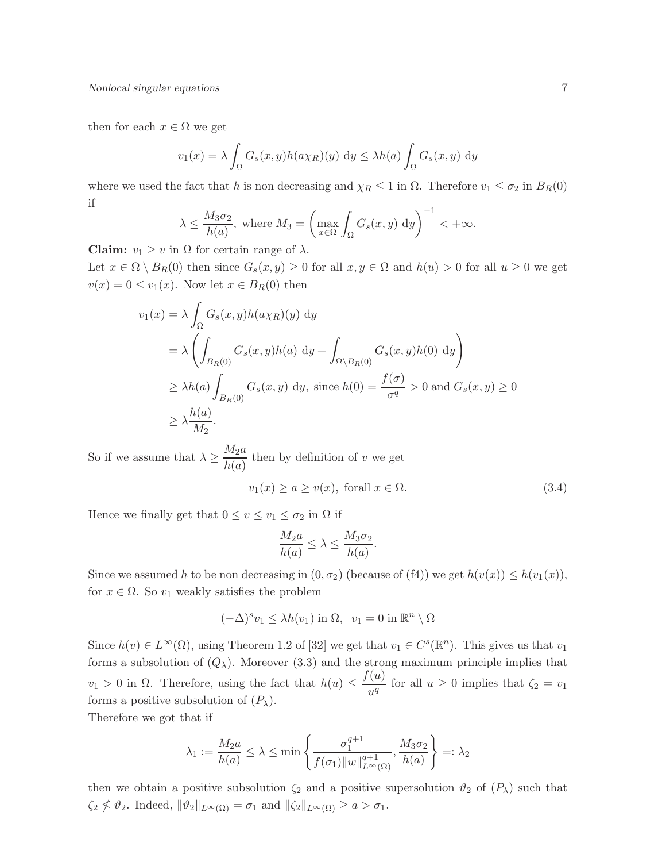then for each  $x \in \Omega$  we get

$$
v_1(x) = \lambda \int_{\Omega} G_s(x, y) h(a\chi_R)(y) dy \leq \lambda h(a) \int_{\Omega} G_s(x, y) dy
$$

where we used the fact that h is non decreasing and  $\chi_R \leq 1$  in  $\Omega$ . Therefore  $v_1 \leq \sigma_2$  in  $B_R(0)$ if

$$
\lambda \le \frac{M_3 \sigma_2}{h(a)}
$$
, where  $M_3 = \left(\max_{x \in \Omega} \int_{\Omega} G_s(x, y) dy\right)^{-1} < +\infty$ .

**Claim:**  $v_1 \geq v$  in  $\Omega$  for certain range of  $\lambda$ .

Let  $x \in \Omega \setminus B_R(0)$  then since  $G_s(x, y) \ge 0$  for all  $x, y \in \Omega$  and  $h(u) > 0$  for all  $u \ge 0$  we get  $v(x) = 0 \le v_1(x)$ . Now let  $x \in B_R(0)$  then

$$
v_1(x) = \lambda \int_{\Omega} G_s(x, y) h(a\chi_R)(y) dy
$$
  
=  $\lambda \left( \int_{B_R(0)} G_s(x, y) h(a) dy + \int_{\Omega \setminus B_R(0)} G_s(x, y) h(0) dy \right)$   
 $\geq \lambda h(a) \int_{B_R(0)} G_s(x, y) dy$ , since  $h(0) = \frac{f(\sigma)}{\sigma^q} > 0$  and  $G_s(x, y) \geq 0$   
 $\geq \lambda \frac{h(a)}{M_2}.$ 

So if we assume that  $\lambda \geq \frac{M_2 a}{M_1}$  $\frac{ln 2\alpha}{h(a)}$  then by definition of v we get

$$
v_1(x) \ge a \ge v(x), \text{ for all } x \in \Omega.
$$
 (3.4)

Hence we finally get that  $0 \le v \le v_1 \le \sigma_2$  in  $\Omega$  if

$$
\frac{M_2a}{h(a)} \le \lambda \le \frac{M_3\sigma_2}{h(a)}.
$$

Since we assumed h to be non decreasing in  $(0, \sigma_2)$  (because of (f4)) we get  $h(v(x)) \leq h(v_1(x))$ , for  $x \in \Omega$ . So  $v_1$  weakly satisfies the problem

$$
(-\Delta)^s v_1 \le \lambda h(v_1) \text{ in } \Omega, \ v_1 = 0 \text{ in } \mathbb{R}^n \setminus \Omega
$$

Since  $h(v) \in L^{\infty}(\Omega)$ , using Theorem 1.2 of [32] we get that  $v_1 \in C^{s}(\mathbb{R}^n)$ . This gives us that  $v_1$ forms a subsolution of  $(Q_\lambda)$ . Moreover (3.3) and the strong maximum principle implies that  $v_1 > 0$  in  $\Omega$ . Therefore, using the fact that  $h(u) \leq \frac{f(u)}{u^n}$  $\frac{\partial u}{\partial u^q}$  for all  $u \ge 0$  implies that  $\zeta_2 = v_1$ forms a positive subsolution of  $(P_\lambda)$ .

Therefore we got that if

$$
\lambda_1 := \frac{M_2 a}{h(a)} \le \lambda \le \min\left\{\frac{\sigma_1^{q+1}}{f(\sigma_1) \|w\|_{L^{\infty}(\Omega)}^{q+1}}, \frac{M_3 \sigma_2}{h(a)}\right\} =: \lambda_2
$$

then we obtain a positive subsolution  $\zeta_2$  and a positive supersolution  $\vartheta_2$  of  $(P_\lambda)$  such that  $\zeta_2 \nleq \vartheta_2$ . Indeed,  $\|\vartheta_2\|_{L^{\infty}(\Omega)} = \sigma_1$  and  $\|\zeta_2\|_{L^{\infty}(\Omega)} \geq a > \sigma_1$ .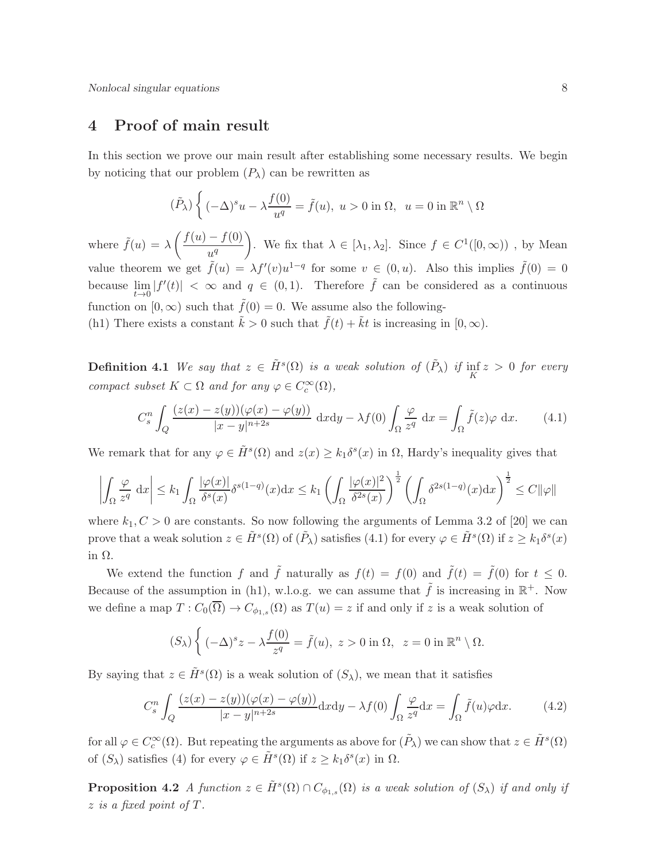## 4 Proof of main result

In this section we prove our main result after establishing some necessary results. We begin by noticing that our problem  $(P_\lambda)$  can be rewritten as

$$
(\tilde{P}_{\lambda})\left\{(-\Delta)^{s}u - \lambda \frac{f(0)}{u^{q}} = \tilde{f}(u), u > 0 \text{ in } \Omega, u = 0 \text{ in } \mathbb{R}^{n} \setminus \Omega \right\}
$$

where  $\tilde{f}(u) = \lambda \left( \frac{f(u) - f(0)}{a} \right)$  $u^q$ ). We fix that  $\lambda \in [\lambda_1, \lambda_2]$ . Since  $f \in C^1([0,\infty))$ , by Mean value theorem we get  $\tilde{f}(u) = \lambda f'(v)u^{1-q}$  for some  $v \in (0, u)$ . Also this implies  $\tilde{f}(0) = 0$ because  $\lim_{t\to 0} |f'(t)| < \infty$  and  $q \in (0,1)$ . Therefore  $\tilde{f}$  can be considered as a continuous function on  $[0, \infty)$  such that  $\tilde{f}(0) = 0$ . We assume also the following-(h1) There exists a constant  $\tilde{k} > 0$  such that  $\tilde{f}(t) + \tilde{k}t$  is increasing in  $[0, \infty)$ .

**Definition 4.1** We say that  $z \in \tilde{H}^s(\Omega)$  is a weak solution of  $(\tilde{P}_\lambda)$  if  $\inf_K z > 0$  for every compact subset  $K \subset \Omega$  and for any  $\varphi \in C_c^{\infty}(\Omega)$ ,

$$
C_s^n \int_Q \frac{(z(x) - z(y))(\varphi(x) - \varphi(y))}{|x - y|^{n+2s}} dxdy - \lambda f(0) \int_\Omega \frac{\varphi}{z^q} dx = \int_\Omega \tilde{f}(z)\varphi dx. \tag{4.1}
$$

We remark that for any  $\varphi \in \tilde{H}^s(\Omega)$  and  $z(x) \geq k_1 \delta^s(x)$  in  $\Omega$ , Hardy's inequality gives that

$$
\left| \int_{\Omega} \frac{\varphi}{z^q} \, \mathrm{d}x \right| \le k_1 \int_{\Omega} \frac{|\varphi(x)|}{\delta^s(x)} \delta^{s(1-q)}(x) \mathrm{d}x \le k_1 \left( \int_{\Omega} \frac{|\varphi(x)|^2}{\delta^{2s}(x)} \right)^{\frac{1}{2}} \left( \int_{\Omega} \delta^{2s(1-q)}(x) \mathrm{d}x \right)^{\frac{1}{2}} \le C ||\varphi||
$$

where  $k_1, C > 0$  are constants. So now following the arguments of Lemma 3.2 of [20] we can prove that a weak solution  $z \in \tilde{H}^s(\Omega)$  of  $(\tilde{P}_\lambda)$  satisfies  $(4.1)$  for every  $\varphi \in \tilde{H}^s(\Omega)$  if  $z \geq k_1 \delta^s(x)$ in  $\Omega.$ 

We extend the function f and  $\tilde{f}$  naturally as  $f(t) = f(0)$  and  $\tilde{f}(t) = \tilde{f}(0)$  for  $t \leq 0$ . Because of the assumption in (h1), w.l.o.g. we can assume that  $\tilde{f}$  is increasing in  $\mathbb{R}^+$ . Now we define a map  $T: C_0(\Omega) \to C_{\phi_{1,s}}(\Omega)$  as  $T(u) = z$  if and only if z is a weak solution of

$$
(S_{\lambda})\left\{(-\Delta)^{s}z-\lambda\frac{f(0)}{z^{q}}=\tilde{f}(u),\ z>0\text{ in }\Omega,\ z=0\text{ in }\mathbb{R}^{n}\setminus\Omega.
$$

By saying that  $z \in \tilde{H}^s(\Omega)$  is a weak solution of  $(S_\lambda)$ , we mean that it satisfies

$$
C_s^n \int_Q \frac{(z(x) - z(y))(\varphi(x) - \varphi(y))}{|x - y|^{n+2s}} dxdy - \lambda f(0) \int_\Omega \frac{\varphi}{z^q} dx = \int_\Omega \tilde{f}(u)\varphi dx.
$$
 (4.2)

for all  $\varphi \in C_c^{\infty}(\Omega)$ . But repeating the arguments as above for  $(\tilde{P}_{\lambda})$  we can show that  $z \in \tilde{H}^s(\Omega)$ of  $(S_{\lambda})$  satisfies (4) for every  $\varphi \in \tilde{H}^s(\Omega)$  if  $z \geq k_1 \delta^s(x)$  in  $\Omega$ .

**Proposition 4.2** A function  $z \in \tilde{H}^s(\Omega) \cap C_{\phi_{1,s}}(\Omega)$  is a weak solution of  $(S_\lambda)$  if and only if z is a fixed point of T.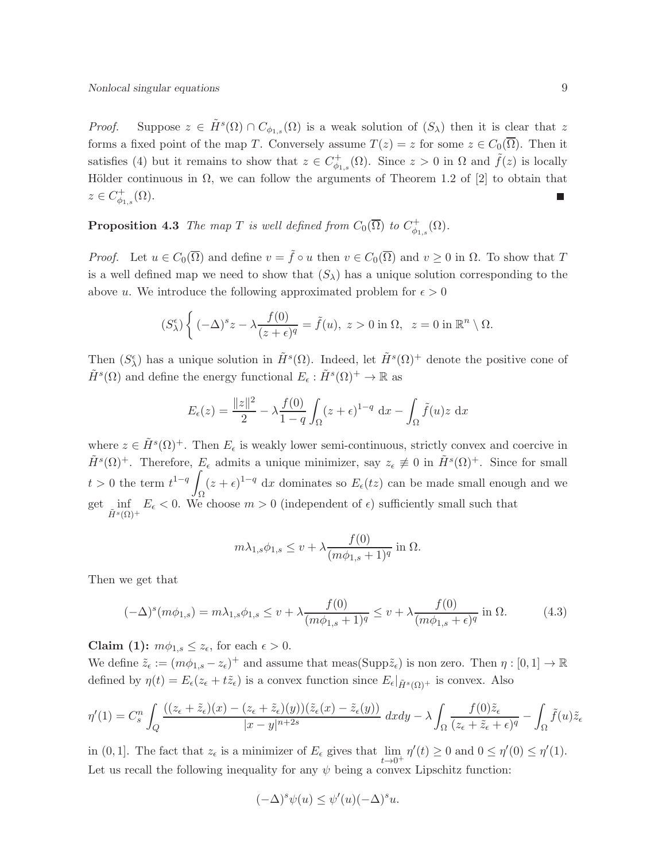*Proof.* Suppose  $z \in \tilde{H}^s(\Omega) \cap C_{\phi_{1,s}}(\Omega)$  is a weak solution of  $(S_\lambda)$  then it is clear that z forms a fixed point of the map T. Conversely assume  $T(z) = z$  for some  $z \in C_0(\overline{\Omega})$ . Then it satisfies (4) but it remains to show that  $z \in C_{\phi_1}^+$  $\phi_{\phi_{1,s}}^+(\Omega)$ . Since  $z>0$  in  $\Omega$  and  $\tilde{f}(z)$  is locally Hölder continuous in  $\Omega$ , we can follow the arguments of Theorem 1.2 of [2] to obtain that  $z \in C_{\phi_{1,s}}^+(\Omega).$ 

**Proposition 4.3** The map T is well defined from  $C_0(\overline{\Omega})$  to  $C_{\phi_1}^+$  $\ ^{ \prime \dagger}_{\phi_{1,s}}(\Omega).$ 

*Proof.* Let  $u \in C_0(\overline{\Omega})$  and define  $v = \tilde{f} \circ u$  then  $v \in C_0(\overline{\Omega})$  and  $v \ge 0$  in  $\Omega$ . To show that T is a well defined map we need to show that  $(S_{\lambda})$  has a unique solution corresponding to the above u. We introduce the following approximated problem for  $\epsilon > 0$ 

$$
(S_{\lambda}^{\epsilon})\left\{(-\Delta)^{s}z-\lambda\frac{f(0)}{(z+\epsilon)^{q}}=\tilde{f}(u),\ z>0\text{ in }\Omega,\ z=0\text{ in }\mathbb{R}^{n}\setminus\Omega.
$$

Then  $(S_{\lambda}^{\epsilon})$  has a unique solution in  $\tilde{H}^{s}(\Omega)$ . Indeed, let  $\tilde{H}^{s}(\Omega)^{+}$  denote the positive cone of  $\tilde{H}^s(\Omega)$  and define the energy functional  $E_{\epsilon}: \tilde{H}^s(\Omega)^+ \to \mathbb{R}$  as

$$
E_{\epsilon}(z) = \frac{\|z\|^2}{2} - \lambda \frac{f(0)}{1-q} \int_{\Omega} (z+\epsilon)^{1-q} dx - \int_{\Omega} \tilde{f}(u)z dx
$$

where  $z \in \tilde{H}^s(\Omega)^+$ . Then  $E_{\epsilon}$  is weakly lower semi-continuous, strictly convex and coercive in  $\tilde{H}^s(\Omega)^+$ . Therefore,  $E_{\epsilon}$  admits a unique minimizer, say  $z_{\epsilon} \not\equiv 0$  in  $\tilde{H}^s(\Omega)^+$ . Since for small  $t > 0$  the term  $t^{1-q} \int (z + \epsilon)^{1-q} dx$  dominates so  $E_{\epsilon}(tz)$  can be made small enough and we get inf  $E_{\epsilon} < 0$ . We inf  $E_{\epsilon} < 0$ . We choose  $m > 0$  (independent of  $\epsilon$ ) sufficiently small such that  $\tilde{H}^{s}(\Omega)^{+}$ 

$$
m\lambda_{1,s}\phi_{1,s} \le v + \lambda \frac{f(0)}{(m\phi_{1,s}+1)^q} \text{ in } \Omega.
$$

Then we get that

$$
(-\Delta)^s (m\phi_{1,s}) = m\lambda_{1,s}\phi_{1,s} \le v + \lambda \frac{f(0)}{(m\phi_{1,s} + 1)^q} \le v + \lambda \frac{f(0)}{(m\phi_{1,s} + \epsilon)^q} \text{ in } \Omega. \tag{4.3}
$$

Claim (1):  $m\phi_{1,s} \leq z_{\epsilon}$ , for each  $\epsilon > 0$ .

We define  $\tilde{z}_{\epsilon} := (m\phi_{1,s} - z_{\epsilon})^+$  and assume that meas(Supp $\tilde{z}_{\epsilon}$ ) is non zero. Then  $\eta : [0,1] \to \mathbb{R}$ defined by  $\eta(t) = E_{\epsilon}(z_{\epsilon} + t\tilde{z}_{\epsilon})$  is a convex function since  $E_{\epsilon}|_{\tilde{H}^s(\Omega)^+}$  is convex. Also

$$
\eta'(1) = C_s^n \int_Q \frac{((z_\epsilon + \tilde{z}_\epsilon)(x) - (z_\epsilon + \tilde{z}_\epsilon)(y))(\tilde{z}_\epsilon(x) - \tilde{z}_\epsilon(y))}{|x - y|^{n+2s}} dx dy - \lambda \int_\Omega \frac{f(0)\tilde{z}_\epsilon}{(z_\epsilon + \tilde{z}_\epsilon + \epsilon)^q} - \int_\Omega \tilde{f}(u)\tilde{z}_\epsilon
$$

in (0, 1]. The fact that  $z_{\epsilon}$  is a minimizer of  $E_{\epsilon}$  gives that  $\lim_{t\to 0^+} \eta'(t) \ge 0$  and  $0 \le \eta'(0) \le \eta'(1)$ . Let us recall the following inequality for any  $\psi$  being a convex Lipschitz function:

$$
(-\Delta)^s \psi(u) \le \psi'(u)(-\Delta)^s u.
$$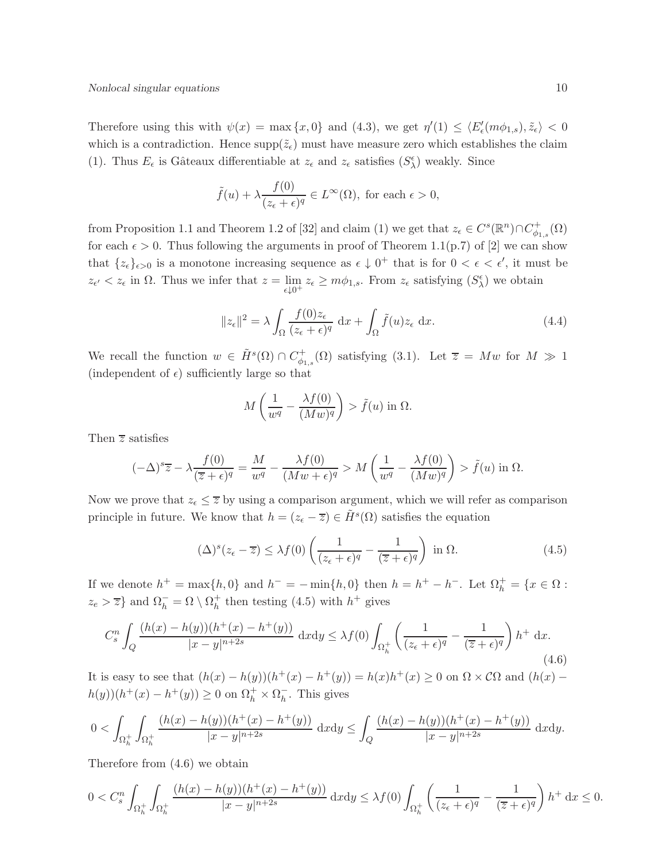Therefore using this with  $\psi(x) = \max\{x, 0\}$  and  $(4.3)$ , we get  $\eta'(1) \le \langle E'_\epsilon(m\phi_{1,s}), \tilde{z}_\epsilon \rangle < 0$ which is a contradiction. Hence  $\text{supp}(\tilde{z}_{\epsilon})$  must have measure zero which establishes the claim (1). Thus  $E_{\epsilon}$  is Gâteaux differentiable at  $z_{\epsilon}$  and  $z_{\epsilon}$  satisfies  $(S_{\lambda}^{\epsilon})$  weakly. Since

$$
\tilde{f}(u) + \lambda \frac{f(0)}{(z_{\epsilon} + \epsilon)^{q}} \in L^{\infty}(\Omega)
$$
, for each  $\epsilon > 0$ ,

from Proposition 1.1 and Theorem 1.2 of [32] and claim (1) we get that  $z_{\epsilon} \in C^{s}(\mathbb{R}^{n}) \cap C_{\phi}^{+}$  $\H_{\phi_{1,s}}^+(\Omega)$ for each  $\epsilon > 0$ . Thus following the arguments in proof of Theorem 1.1(p.7) of [2] we can show that  $\{z_{\epsilon}\}_{{\epsilon}>0}$  is a monotone increasing sequence as  ${\epsilon} \downarrow 0^+$  that is for  $0 < {\epsilon} < {\epsilon}'$ , it must be  $z_{\epsilon'} < z_{\epsilon}$  in  $\Omega$ . Thus we infer that  $z = \lim_{\epsilon \downarrow 0^+} z_{\epsilon} \ge m\phi_{1,s}$ . From  $z_{\epsilon}$  satisfying  $(S_{\lambda}^{\epsilon})$  we obtain

$$
||z_{\epsilon}||^{2} = \lambda \int_{\Omega} \frac{f(0)z_{\epsilon}}{(z_{\epsilon} + \epsilon)^{q}} dx + \int_{\Omega} \tilde{f}(u)z_{\epsilon} dx.
$$
 (4.4)

We recall the function  $w \in \tilde{H}^s(\Omega) \cap C^+_{\phi_1}$  $\psi_{\phi_{1,s}}^{\dagger}(\Omega)$  satisfying (3.1). Let  $\overline{z} = Mw$  for  $M \gg 1$ (independent of  $\epsilon$ ) sufficiently large so that

$$
M\left(\frac{1}{w^q} - \frac{\lambda f(0)}{(Mw)^q}\right) > \tilde{f}(u) \text{ in } \Omega.
$$

Then  $\overline{z}$  satisfies

$$
(-\Delta)^s \overline{z} - \lambda \frac{f(0)}{(\overline{z} + \epsilon)^q} = \frac{M}{w^q} - \frac{\lambda f(0)}{(Mw + \epsilon)^q} > M\left(\frac{1}{w^q} - \frac{\lambda f(0)}{(Mw)^q}\right) > \tilde{f}(u) \text{ in } \Omega.
$$

Now we prove that  $z_{\epsilon} \leq \overline{z}$  by using a comparison argument, which we will refer as comparison principle in future. We know that  $h = (z_{\epsilon} - \overline{z}) \in \tilde{H}^{s}(\Omega)$  satisfies the equation

$$
(\Delta)^{s}(z_{\epsilon} - \overline{z}) \leq \lambda f(0) \left( \frac{1}{(z_{\epsilon} + \epsilon)^{q}} - \frac{1}{(\overline{z} + \epsilon)^{q}} \right) \text{ in } \Omega. \tag{4.5}
$$

If we denote  $h^+ = \max\{h, 0\}$  and  $h^- = -\min\{h, 0\}$  then  $h = h^+ - h^-$ . Let  $\Omega_h^+ = \{x \in \Omega :$  $z_e > \overline{z}$  and  $\Omega_h^- = \Omega \setminus \Omega_h^+$  then testing (4.5) with  $h^+$  gives

$$
C_s^n \int_Q \frac{(h(x) - h(y))(h^+(x) - h^+(y))}{|x - y|^{n+2s}} dxdy \leq \lambda f(0) \int_{\Omega_h^+} \left(\frac{1}{(z_\epsilon + \epsilon)^q} - \frac{1}{(\overline{z} + \epsilon)^q}\right) h^+ dx. \tag{4.6}
$$

It is easy to see that  $(h(x) - h(y))(h^{+}(x) - h^{+}(y)) = h(x)h^{+}(x) \geq 0$  on  $\Omega \times C\Omega$  and  $(h(x) - h(y))$  $h(y))(h^+(x) - h^+(y)) \geq 0$  on  $\Omega_h^+ \times \Omega_h^ \overline{h}$ . This gives

$$
0 < \int_{\Omega_h^+} \int_{\Omega_h^+} \frac{(h(x) - h(y))(h^+(x) - h^+(y))}{|x - y|^{n+2s}} dxdy \le \int_Q \frac{(h(x) - h(y))(h^+(x) - h^+(y))}{|x - y|^{n+2s}} dxdy.
$$

Therefore from (4.6) we obtain

$$
0
$$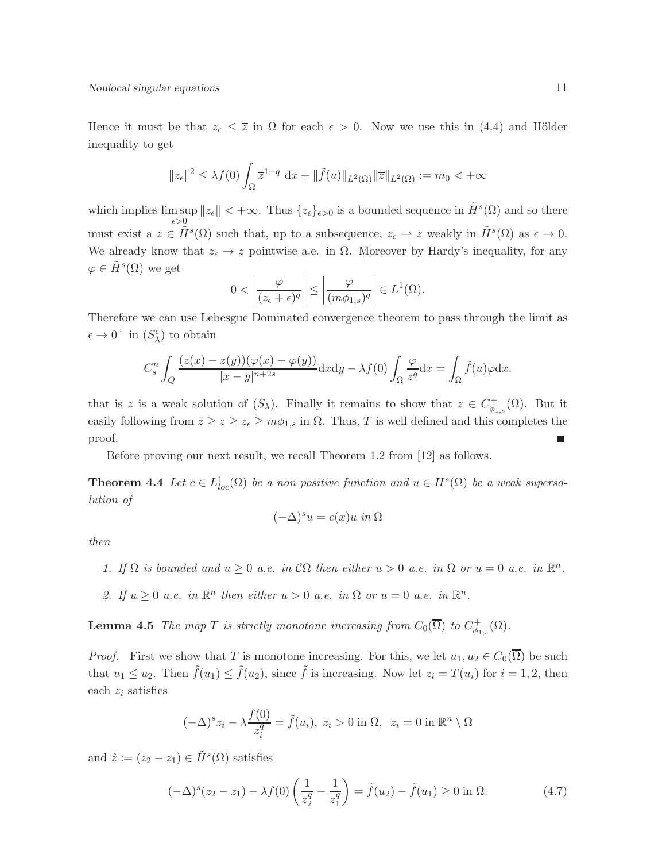Hence it must be that  $z_{\epsilon} \leq \overline{z}$  in  $\Omega$  for each  $\epsilon > 0$ . Now we use this in (4.4) and Hölder inequality to get

$$
||z_{\epsilon}||^2 \leq \lambda f(0) \int_{\Omega} \overline{z}^{1-q} dx + ||\tilde{f}(u)||_{L^2(\Omega)} ||\overline{z}||_{L^2(\Omega)} := m_0 < +\infty
$$

which implies lim sup  $\sup_{\epsilon>0}||z_{\epsilon}|| < +\infty$ . Thus  $\{z_{\epsilon}\}_{{\epsilon}>0}$  is a bounded sequence in  $\tilde{H}^s(\Omega)$  and so there must exist a  $z \in \tilde{H}^s(\Omega)$  such that, up to a subsequence,  $z_{\epsilon} \to z$  weakly in  $\tilde{H}^s(\Omega)$  as  $\epsilon \to 0$ . We already know that  $z_{\epsilon} \to z$  pointwise a.e. in  $\Omega$ . Moreover by Hardy's inequality, for any  $\varphi \in \tilde{H}^s(\Omega)$  we get

$$
0 < \left| \frac{\varphi}{(z_{\epsilon} + \epsilon)^{q}} \right| \leq \left| \frac{\varphi}{(m\phi_{1,s})^{q}} \right| \in L^{1}(\Omega).
$$

Therefore we can use Lebesgue Dominated convergence theorem to pass through the limit as  $\epsilon \to 0^+$  in  $(S_\lambda^\epsilon)$  to obtain

$$
C_s^n \int_Q \frac{(z(x) - z(y))(\varphi(x) - \varphi(y))}{|x - y|^{n+2s}} dxdy - \lambda f(0) \int_\Omega \frac{\varphi}{z^q} dx = \int_\Omega \tilde{f}(u)\varphi dx.
$$

that is z is a weak solution of  $(S_\lambda)$ . Finally it remains to show that  $z \in C^+_{\phi_{1,s}}(\Omega)$ . But it easily following from  $\bar{z} \geq z \geq z_{\epsilon} \geq m\phi_{1,s}$  in  $\Omega$ . Thus, T is well defined and this completes the proof. П

Before proving our next result, we recall Theorem 1.2 from [12] as follows.

**Theorem 4.4** Let  $c \in L^1_{loc}(\Omega)$  be a non positive function and  $u \in H^s(\Omega)$  be a weak supersolution of

$$
(-\Delta)^s u = c(x)u \text{ in } \Omega
$$

then

- 1. If  $\Omega$  is bounded and  $u \geq 0$  a.e. in  $\mathcal{C}\Omega$  then either  $u > 0$  a.e. in  $\Omega$  or  $u = 0$  a.e. in  $\mathbb{R}^n$ .
- 2. If  $u \geq 0$  a.e. in  $\mathbb{R}^n$  then either  $u > 0$  a.e. in  $\Omega$  or  $u = 0$  a.e. in  $\mathbb{R}^n$ .

**Lemma 4.5** The map T is strictly monotone increasing from  $C_0(\overline{\Omega})$  to  $C^+_{\phi_{1,s}}(\Omega)$ .

*Proof.* First we show that T is monotone increasing. For this, we let  $u_1, u_2 \in C_0(\overline{\Omega})$  be such that  $u_1 \le u_2$ . Then  $\tilde{f}(u_1) \le \tilde{f}(u_2)$ , since  $\tilde{f}$  is increasing. Now let  $z_i = T(u_i)$  for  $i = 1, 2$ , then each  $z_i$  satisfies

$$
(-\Delta)^{s} z_i - \lambda \frac{f(0)}{z_i^q} = \tilde{f}(u_i), \ z_i > 0 \text{ in } \Omega, \ z_i = 0 \text{ in } \mathbb{R}^n \setminus \Omega
$$

and  $\hat{z} := (z_2 - z_1) \in \tilde{H}^s(\Omega)$  satisfies

$$
(-\Delta)^{s}(z_2 - z_1) - \lambda f(0) \left(\frac{1}{z_2^q} - \frac{1}{z_1^q}\right) = \tilde{f}(u_2) - \tilde{f}(u_1) \ge 0 \text{ in } \Omega.
$$
 (4.7)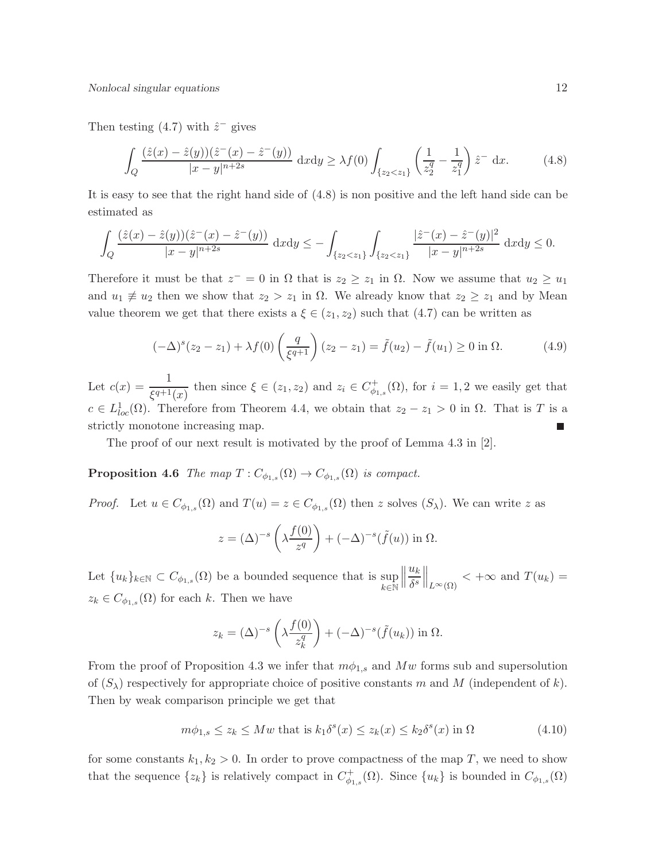Then testing  $(4.7)$  with  $\hat{z}^-$  gives

$$
\int_{Q} \frac{(\hat{z}(x) - \hat{z}(y))(\hat{z}^{-}(x) - \hat{z}^{-}(y))}{|x - y|^{n+2s}} dxdy \geq \lambda f(0) \int_{\{z_2 < z_1\}} \left(\frac{1}{z_2^q} - \frac{1}{z_1^q}\right) \hat{z}^{-} dx. \tag{4.8}
$$

It is easy to see that the right hand side of (4.8) is non positive and the left hand side can be estimated as

$$
\int_{Q} \frac{(\hat{z}(x) - \hat{z}(y))(\hat{z}^{-}(x) - \hat{z}^{-}(y))}{|x - y|^{n+2s}} dxdy \leq -\int_{\{z_2 < z_1\}} \int_{\{z_2 < z_1\}} \frac{|\hat{z}^{-}(x) - \hat{z}^{-}(y)|^2}{|x - y|^{n+2s}} dxdy \leq 0.
$$

Therefore it must be that  $z^- = 0$  in  $\Omega$  that is  $z_2 \geq z_1$  in  $\Omega$ . Now we assume that  $u_2 \geq u_1$ and  $u_1 \neq u_2$  then we show that  $z_2 > z_1$  in  $\Omega$ . We already know that  $z_2 \geq z_1$  and by Mean value theorem we get that there exists a  $\xi \in (z_1, z_2)$  such that  $(4.7)$  can be written as

$$
(-\Delta)^{s}(z_2 - z_1) + \lambda f(0) \left(\frac{q}{\xi^{q+1}}\right) (z_2 - z_1) = \tilde{f}(u_2) - \tilde{f}(u_1) \ge 0 \text{ in } \Omega. \tag{4.9}
$$

Let  $c(x) = \frac{1}{\xi^{q+1}(x)}$  then since  $\xi \in (z_1, z_2)$  and  $z_i \in C_{\phi_1}^+$  $\psi_{\phi_{1,s}}^{\dagger}(\Omega)$ , for  $i=1,2$  we easily get that  $c \in L^1_{loc}(\Omega)$ . Therefore from Theorem 4.4, we obtain that  $z_2 - z_1 > 0$  in  $\Omega$ . That is T is a strictly monotone increasing map.

The proof of our next result is motivated by the proof of Lemma 4.3 in [2].

**Proposition 4.6** The map  $T: C_{\phi_{1,s}}(\Omega) \to C_{\phi_{1,s}}(\Omega)$  is compact.

*Proof.* Let  $u \in C_{\phi_{1,s}}(\Omega)$  and  $T(u) = z \in C_{\phi_{1,s}}(\Omega)$  then z solves  $(S_\lambda)$ . We can write z as

$$
z = (\Delta)^{-s} \left( \lambda \frac{f(0)}{z^q} \right) + (-\Delta)^{-s} (\tilde{f}(u)) \text{ in } \Omega.
$$

Let  ${u_k}_{k\in\mathbb{N}} \subset C_{\phi_{1,s}}(\Omega)$  be a bounded sequence that is sup  $k$ ∈ $\mathbb N$  $\begin{array}{c} \hline \end{array}$  $u_k$  $\frac{u_k}{\delta^s}\Big\|_{L^{\infty}(\Omega)} < +\infty$  and  $T(u_k) =$  $z_k \in C_{\phi_{1,s}}(\Omega)$  for each k. Then we have

$$
z_k = (\Delta)^{-s} \left( \lambda \frac{f(0)}{z_k^q} \right) + (-\Delta)^{-s} (\tilde{f}(u_k)) \text{ in } \Omega.
$$

From the proof of Proposition 4.3 we infer that  $m\phi_{1,s}$  and  $Mw$  forms sub and supersolution of  $(S_{\lambda})$  respectively for appropriate choice of positive constants m and M (independent of k). Then by weak comparison principle we get that

$$
m\phi_{1,s} \le z_k \le Mw \text{ that is } k_1 \delta^s(x) \le z_k(x) \le k_2 \delta^s(x) \text{ in } \Omega \tag{4.10}
$$

for some constants  $k_1, k_2 > 0$ . In order to prove compactness of the map T, we need to show that the sequence  $\{z_k\}$  is relatively compact in  $C^+_{\phi_{1,s}}(\Omega)$ . Since  $\{u_k\}$  is bounded in  $C_{\phi_{1,s}}(\Omega)$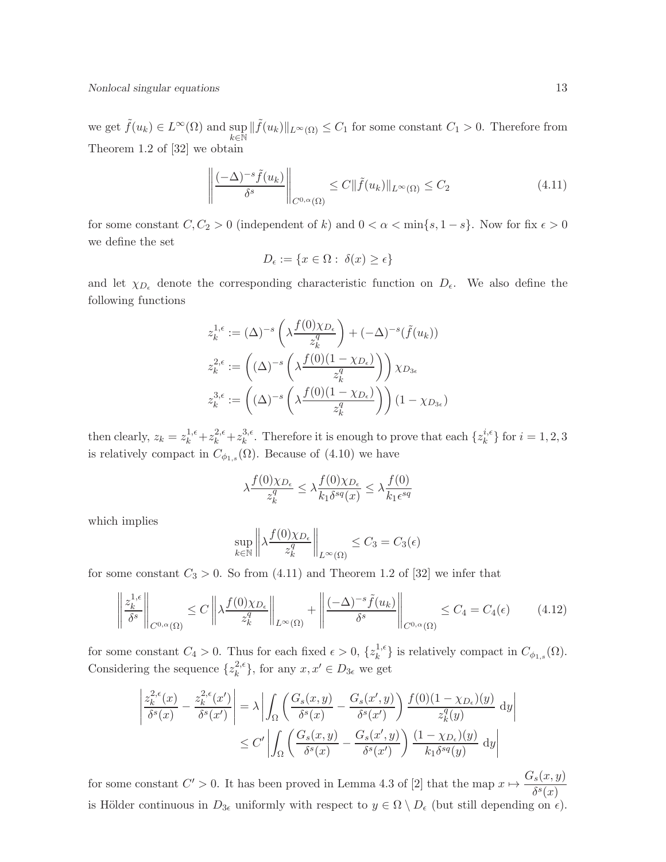Nonlocal singular equations 13

we get  $\tilde{f}(u_k) \in L^{\infty}(\Omega)$  and sup  $k \in \mathbb{N}$  $\|\tilde{f}(u_k)\|_{L^{\infty}(\Omega)} \leq C_1$  for some constant  $C_1 > 0$ . Therefore from Theorem 1.2 of [32] we obtain

$$
\left\| \frac{(-\Delta)^{-s} \tilde{f}(u_k)}{\delta^s} \right\|_{C^{0,\alpha}(\Omega)} \le C \|\tilde{f}(u_k)\|_{L^\infty(\Omega)} \le C_2 \tag{4.11}
$$

for some constant  $C, C_2 > 0$  (independent of k) and  $0 < \alpha < \min\{s, 1 - s\}$ . Now for fix  $\epsilon > 0$ we define the set

$$
D_{\epsilon} := \{ x \in \Omega : \ \delta(x) \ge \epsilon \}
$$

and let  $\chi_{D_{\epsilon}}$  denote the corresponding characteristic function on  $D_{\epsilon}$ . We also define the following functions

$$
z_k^{1,\epsilon} := (\Delta)^{-s} \left( \lambda \frac{f(0)\chi_{D_{\epsilon}}}{z_k^q} \right) + (-\Delta)^{-s} (\tilde{f}(u_k))
$$
  

$$
z_k^{2,\epsilon} := \left( (\Delta)^{-s} \left( \lambda \frac{f(0)(1-\chi_{D_{\epsilon}})}{z_k^q} \right) \right) \chi_{D_{3\epsilon}}
$$
  

$$
z_k^{3,\epsilon} := \left( (\Delta)^{-s} \left( \lambda \frac{f(0)(1-\chi_{D_{\epsilon}})}{z_k^q} \right) \right) (1-\chi_{D_{3\epsilon}})
$$

then clearly,  $z_k = z_k^{1,\epsilon} + z_k^{2,\epsilon} + z_k^{3,\epsilon}$ <sup>3, $\epsilon$ </sup>. Therefore it is enough to prove that each  $\{z_k^{i,\epsilon}\}$  $_{k}^{i,\epsilon}$  for  $i=1,2,3$ is relatively compact in  $C_{\phi_{1,s}}(\Omega)$ . Because of (4.10) we have

$$
\lambda \frac{f(0)\chi_{D_{\epsilon}}}{z_k^q} \le \lambda \frac{f(0)\chi_{D_{\epsilon}}}{k_1 \delta^{sq}(x)} \le \lambda \frac{f(0)}{k_1 \epsilon^{sq}}
$$

which implies

$$
\sup_{k \in \mathbb{N}} \left\| \lambda \frac{f(0)\chi_{D_{\epsilon}}}{z_k^q} \right\|_{L^{\infty}(\Omega)} \leq C_3 = C_3(\epsilon)
$$

for some constant  $C_3 > 0$ . So from (4.11) and Theorem 1.2 of [32] we infer that

$$
\left\| \frac{z_k^{1,\epsilon}}{\delta^s} \right\|_{C^{0,\alpha}(\Omega)} \le C \left\| \lambda \frac{f(0)\chi_{D_\epsilon}}{z_k^q} \right\|_{L^\infty(\Omega)} + \left\| \frac{(-\Delta)^{-s} \tilde{f}(u_k)}{\delta^s} \right\|_{C^{0,\alpha}(\Omega)} \le C_4 = C_4(\epsilon) \tag{4.12}
$$

for some constant  $C_4 > 0$ . Thus for each fixed  $\epsilon > 0$ ,  $\{z_k^{1,\epsilon}\}$  ${k \choose k}$  is relatively compact in  $C_{\phi_{1,s}}(\Omega)$ . Considering the sequence  $\{z_k^{2,\epsilon}\}$  $_k^{2,\epsilon}$ , for any  $x, x' \in D_{3\epsilon}$  we get

$$
\left| \frac{z_k^{2,\epsilon}(x)}{\delta^s(x)} - \frac{z_k^{2,\epsilon}(x')}{\delta^s(x')} \right| = \lambda \left| \int_{\Omega} \left( \frac{G_s(x,y)}{\delta^s(x)} - \frac{G_s(x',y)}{\delta^s(x')} \right) \frac{f(0)(1 - \chi_{D_{\epsilon}})(y)}{z_k^q(y)} dy \right|
$$
  

$$
\leq C' \left| \int_{\Omega} \left( \frac{G_s(x,y)}{\delta^s(x)} - \frac{G_s(x',y)}{\delta^s(x')} \right) \frac{(1 - \chi_{D_{\epsilon}})(y)}{k_1 \delta^{sq}(y)} dy \right|
$$

for some constant  $C' > 0$ . It has been proved in Lemma 4.3 of [2] that the map  $x \mapsto \frac{G_s(x, y)}{s s(x)}$  $\delta^s(x)$ is Hölder continuous in  $D_{3\epsilon}$  uniformly with respect to  $y \in \Omega \setminus D_{\epsilon}$  (but still depending on  $\epsilon$ ).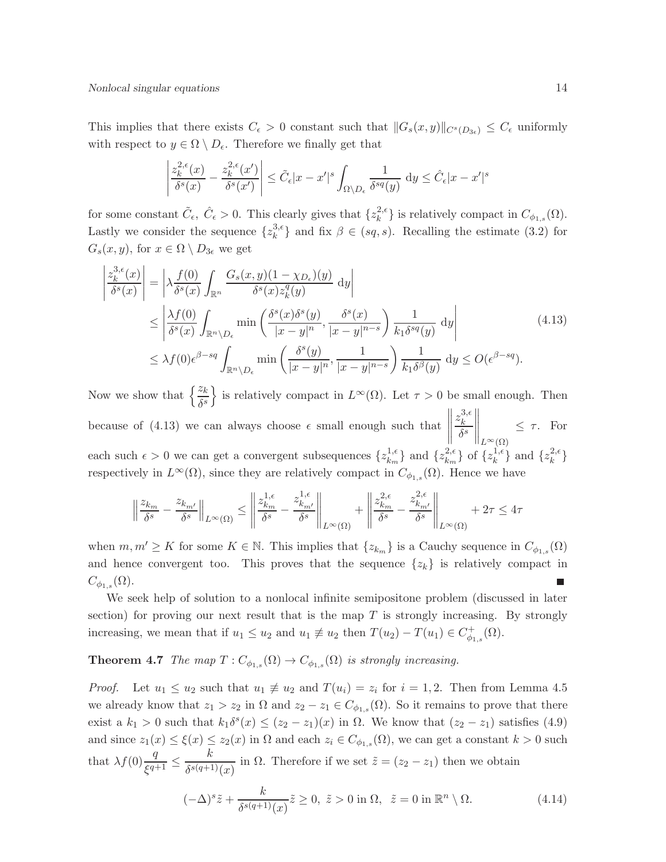This implies that there exists  $C_{\epsilon} > 0$  constant such that  $||G_s(x, y)||_{C^{s}(D_{3\epsilon})} \leq C_{\epsilon}$  uniformly with respect to  $y \in \Omega \setminus D_{\epsilon}$ . Therefore we finally get that

$$
\left| \frac{z_k^{2,\epsilon}(x)}{\delta^s(x)} - \frac{z_k^{2,\epsilon}(x')}{\delta^s(x')} \right| \leq \tilde{C}_{\epsilon} |x - x'|^s \int_{\Omega \setminus D_{\epsilon}} \frac{1}{\delta^{sq}(y)} dy \leq \hat{C}_{\epsilon} |x - x'|^s
$$

for some constant  $\tilde{C}_{\epsilon}$ ,  $\hat{C}_{\epsilon} > 0$ . This clearly gives that  $\{z_k^{2,\epsilon}\}$  $\{e^{i\epsilon}\}\$ is relatively compact in  $C_{\phi_{1,s}}(\Omega)$ . Lastly we consider the sequence  $\{z_k^{3,\epsilon}\}$  $\{k^{3,6}\}\$  and fix  $\beta \in (sq, s)$ . Recalling the estimate (3.2) for  $G_s(x, y)$ , for  $x \in \Omega \setminus D_{3\epsilon}$  we get

$$
\begin{split}\n\left|\frac{z_{k}^{3,\epsilon}(x)}{\delta^{s}(x)}\right| &= \left|\lambda \frac{f(0)}{\delta^{s}(x)} \int_{\mathbb{R}^{n}} \frac{G_{s}(x,y)(1-\chi_{D_{\epsilon}})(y)}{\delta^{s}(x)z_{k}^{q}(y)} \, \mathrm{d}y\right| \\
&\leq \left|\frac{\lambda f(0)}{\delta^{s}(x)} \int_{\mathbb{R}^{n} \setminus D_{\epsilon}} \min\left(\frac{\delta^{s}(x)\delta^{s}(y)}{|x-y|^{n}}, \frac{\delta^{s}(x)}{|x-y|^{n-s}}\right) \frac{1}{k_{1}\delta^{sq}(y)} \, \mathrm{d}y\right| \\
&\leq \lambda f(0)\epsilon^{\beta-sq} \int_{\mathbb{R}^{n} \setminus D_{\epsilon}} \min\left(\frac{\delta^{s}(y)}{|x-y|^{n}}, \frac{1}{|x-y|^{n-s}}\right) \frac{1}{k_{1}\delta^{\beta}(y)} \, \mathrm{d}y \leq O(\epsilon^{\beta-sq}).\n\end{split} \tag{4.13}
$$

Now we show that  $\left\{\frac{z_k}{\delta^s}\right\}$  is relatively compact in  $L^{\infty}(\Omega)$ . Let  $\tau > 0$  be small enough. Then because of  $(4.13)$  we can always choose  $\epsilon$  small enough such that  $\begin{array}{c} \hline \end{array}$  $z_k^{3,\epsilon}$ k  $\delta^s$  $\bigg\|_{L^{\infty}(\Omega)}$  $\leq \tau$ . For each such  $\epsilon > 0$  we can get a convergent subsequences  $\{z_{k_m}^{1,\epsilon}\}$  $\{z_{k_m}^{1,\epsilon}\}\text{ and }\{z_{k_m}^{2,\epsilon}\}$  ${k_m \brace k_m}$  of  ${z_k^{1,\epsilon}}$  $\{z_k^{1,\epsilon}\}\$  and  $\{z_k^{2,\epsilon}\}$  $\left\{k^{\epsilon}\right\}$ respectively in  $L^{\infty}(\Omega)$ , since they are relatively compact in  $C_{\phi_{1,s}}(\Omega)$ . Hence we have

$$
\left\|\frac{z_{k_m}}{\delta^s} - \frac{z_{k_{m'}}}{\delta^s}\right\|_{L^\infty(\Omega)} \le \left\|\frac{z_{k_m}^{1,\epsilon}}{\delta^s} - \frac{z_{k_{m'}}^{1,\epsilon}}{\delta^s}\right\|_{L^\infty(\Omega)} + \left\|\frac{z_{k_m}^{2,\epsilon}}{\delta^s} - \frac{z_{k_{m'}}^{2,\epsilon}}{\delta^s}\right\|_{L^\infty(\Omega)} + 2\tau \le 4\tau
$$

when  $m, m' \geq K$  for some  $K \in \mathbb{N}$ . This implies that  $\{z_{k_m}\}\$ is a Cauchy sequence in  $C_{\phi_{1,s}}(\Omega)$ and hence convergent too. This proves that the sequence  $\{z_k\}$  is relatively compact in  $C_{\phi_{1,s}}(\Omega).$ 

We seek help of solution to a nonlocal infinite semipositone problem (discussed in later section) for proving our next result that is the map  $T$  is strongly increasing. By strongly increasing, we mean that if  $u_1 \leq u_2$  and  $u_1 \neq u_2$  then  $T(u_2) - T(u_1) \in C^+_{\phi_{1,s}}(\Omega)$ .

#### **Theorem 4.7** The map  $T: C_{\phi_{1,s}}(\Omega) \to C_{\phi_{1,s}}(\Omega)$  is strongly increasing.

*Proof.* Let  $u_1 \leq u_2$  such that  $u_1 \neq u_2$  and  $T(u_i) = z_i$  for  $i = 1, 2$ . Then from Lemma 4.5 we already know that  $z_1 > z_2$  in  $\Omega$  and  $z_2 - z_1 \in C_{\phi_{1,s}}(\Omega)$ . So it remains to prove that there exist a  $k_1 > 0$  such that  $k_1 \delta^s(x) \leq (z_2 - z_1)(x)$  in  $\Omega$ . We know that  $(z_2 - z_1)$  satisfies (4.9) and since  $z_1(x) \leq \xi(x) \leq z_2(x)$  in  $\Omega$  and each  $z_i \in C_{\phi_{1,s}}(\Omega)$ , we can get a constant  $k > 0$  such that  $\lambda f(0) \frac{q}{\xi^{q+1}} \leq \frac{k}{\delta^{s(q+1)}}$  $\frac{\partial}{\partial s^{(q+1)}(x)}$  in  $\Omega$ . Therefore if we set  $\tilde{z} = (z_2 - z_1)$  then we obtain

$$
(-\Delta)^s \tilde{z} + \frac{k}{\delta^{s(q+1)}(x)} \tilde{z} \ge 0, \ \tilde{z} > 0 \text{ in } \Omega, \ \ \tilde{z} = 0 \text{ in } \mathbb{R}^n \setminus \Omega. \tag{4.14}
$$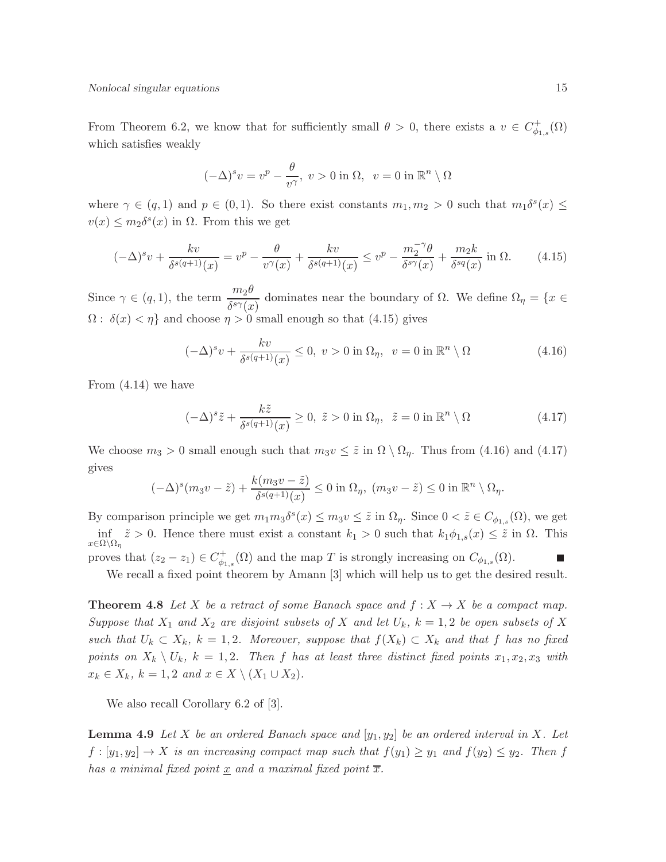From Theorem 6.2, we know that for sufficiently small  $\theta > 0$ , there exists a  $v \in C_{\phi}^+$  $_{\phi_{1,s}}^{(+}(\Omega)$ which satisfies weakly

$$
(-\Delta)^s v = v^p - \frac{\theta}{v^{\gamma}}, \ v > 0 \text{ in } \Omega, \ v = 0 \text{ in } \mathbb{R}^n \setminus \Omega
$$

where  $\gamma \in (q, 1)$  and  $p \in (0, 1)$ . So there exist constants  $m_1, m_2 > 0$  such that  $m_1 \delta^s(x) \leq$  $v(x) \leq m_2 \delta^s(x)$  in  $\Omega$ . From this we get

$$
(-\Delta)^s v + \frac{kv}{\delta^{s(q+1)}(x)} = v^p - \frac{\theta}{v^\gamma(x)} + \frac{kv}{\delta^{s(q+1)}(x)} \le v^p - \frac{m_2^{-\gamma}\theta}{\delta^{s\gamma}(x)} + \frac{m_2k}{\delta^{sq}(x)} \text{ in } \Omega. \tag{4.15}
$$

Since  $\gamma \in (q, 1)$ , the term  $\frac{m_2\theta}{\delta^{s\gamma}(x)}$  dominates near the boundary of  $\Omega$ . We define  $\Omega_\eta = \{x \in$  $\Omega: \delta(x) < \eta$  and choose  $\eta > 0$  small enough so that (4.15) gives

$$
(-\Delta)^s v + \frac{kv}{\delta^{s(q+1)}(x)} \le 0, \ v > 0 \text{ in } \Omega_\eta, \ v = 0 \text{ in } \mathbb{R}^n \setminus \Omega \tag{4.16}
$$

From (4.14) we have

$$
(-\Delta)^s \tilde{z} + \frac{k\tilde{z}}{\delta^{s(q+1)}(x)} \ge 0, \ \tilde{z} > 0 \text{ in } \Omega_\eta, \ \ \tilde{z} = 0 \text{ in } \mathbb{R}^n \setminus \Omega \tag{4.17}
$$

We choose  $m_3 > 0$  small enough such that  $m_3v \leq \tilde{z}$  in  $\Omega \setminus \Omega_n$ . Thus from (4.16) and (4.17) gives

$$
(-\Delta)^s (m_3 v - \tilde{z}) + \frac{k(m_3 v - \tilde{z})}{\delta^{s(q+1)}(x)} \le 0 \text{ in } \Omega_\eta, \ (m_3 v - \tilde{z}) \le 0 \text{ in } \mathbb{R}^n \setminus \Omega_\eta.
$$

By comparison principle we get  $m_1m_3\delta^s(x) \leq m_3v \leq \tilde{z}$  in  $\Omega_{\eta}$ . Since  $0 < \tilde{z} \in C_{\phi_{1,s}}(\Omega)$ , we get  $\inf_{x \in \Omega \setminus \Omega_\eta} \tilde{z} > 0$ . Hence there must exist a constant  $k_1 > 0$  such that  $k_1 \phi_{1,s}(x) \leq \tilde{z}$  in  $\Omega$ . This proves that  $(z_2 - z_1) \in C_{\phi_1}^+$  $\phi_{4,s}^+(\Omega)$  and the map T is strongly increasing on  $C_{\phi_{1,s}}(\Omega)$ .

We recall a fixed point theorem by Amann [3] which will help us to get the desired result.

**Theorem 4.8** Let X be a retract of some Banach space and  $f: X \to X$  be a compact map. Suppose that  $X_1$  and  $X_2$  are disjoint subsets of X and let  $U_k$ ,  $k = 1,2$  be open subsets of X such that  $U_k \subset X_k$ ,  $k = 1, 2$ . Moreover, suppose that  $f(X_k) \subset X_k$  and that f has no fixed points on  $X_k \setminus U_k$ ,  $k = 1, 2$ . Then f has at least three distinct fixed points  $x_1, x_2, x_3$  with  $x_k \in X_k$ ,  $k = 1, 2$  and  $x \in X \setminus (X_1 \cup X_2)$ .

We also recall Corollary 6.2 of [3].

**Lemma 4.9** Let X be an ordered Banach space and  $[y_1, y_2]$  be an ordered interval in X. Let  $f : [y_1, y_2] \to X$  is an increasing compact map such that  $f(y_1) \ge y_1$  and  $f(y_2) \le y_2$ . Then f has a minimal fixed point  $\underline{x}$  and a maximal fixed point  $\overline{x}$ .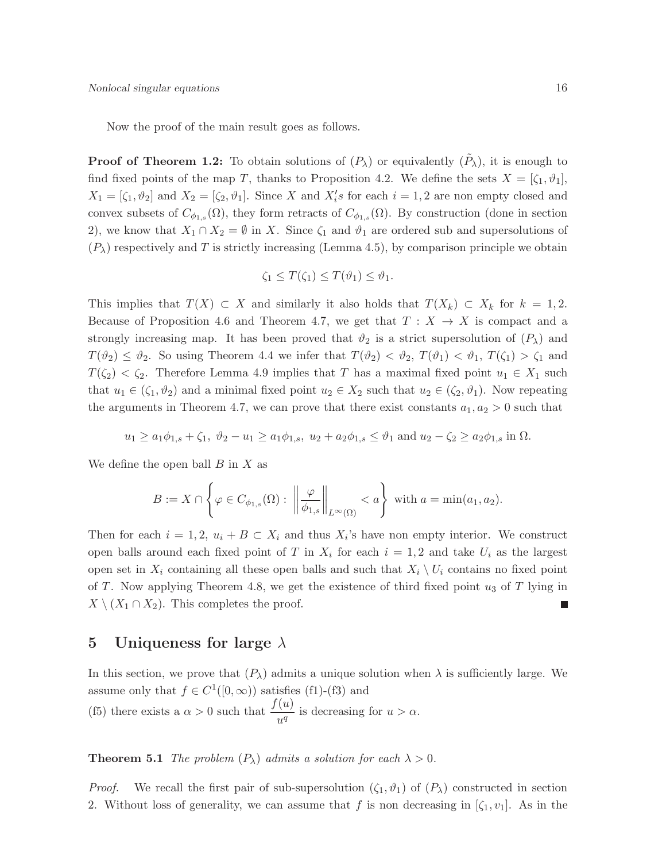Now the proof of the main result goes as follows.

**Proof of Theorem 1.2:** To obtain solutions of  $(P_\lambda)$  or equivalently  $(\tilde{P}_\lambda)$ , it is enough to find fixed points of the map T, thanks to Proposition 4.2. We define the sets  $X = [\zeta_1, \vartheta_1],$  $X_1 = [\zeta_1, \vartheta_2]$  and  $X_2 = [\zeta_2, \vartheta_1]$ . Since X and  $X_i$ 's for each  $i = 1, 2$  are non empty closed and convex subsets of  $C_{\phi_{1,s}}(\Omega)$ , they form retracts of  $C_{\phi_{1,s}}(\Omega)$ . By construction (done in section 2), we know that  $X_1 \cap X_2 = \emptyset$  in X. Since  $\zeta_1$  and  $\vartheta_1$  are ordered sub and supersolutions of  $(P_{\lambda})$  respectively and T is strictly increasing (Lemma 4.5), by comparison principle we obtain

$$
\zeta_1 \leq T(\zeta_1) \leq T(\vartheta_1) \leq \vartheta_1.
$$

This implies that  $T(X) \subset X$  and similarly it also holds that  $T(X_k) \subset X_k$  for  $k = 1, 2$ . Because of Proposition 4.6 and Theorem 4.7, we get that  $T : X \to X$  is compact and a strongly increasing map. It has been proved that  $\vartheta_2$  is a strict supersolution of  $(P_\lambda)$  and  $T(\vartheta_2) \leq \vartheta_2$ . So using Theorem 4.4 we infer that  $T(\vartheta_2) < \vartheta_2$ ,  $T(\vartheta_1) < \vartheta_1$ ,  $T(\zeta_1) > \zeta_1$  and  $T(\zeta_2) < \zeta_2$ . Therefore Lemma 4.9 implies that T has a maximal fixed point  $u_1 \in X_1$  such that  $u_1 \in (\zeta_1, \vartheta_2)$  and a minimal fixed point  $u_2 \in X_2$  such that  $u_2 \in (\zeta_2, \vartheta_1)$ . Now repeating the arguments in Theorem 4.7, we can prove that there exist constants  $a_1, a_2 > 0$  such that

$$
u_1 \ge a_1 \phi_{1,s} + \zeta_1, \ \vartheta_2 - u_1 \ge a_1 \phi_{1,s}, \ u_2 + a_2 \phi_{1,s} \le \vartheta_1 \text{ and } u_2 - \zeta_2 \ge a_2 \phi_{1,s} \text{ in } \Omega.
$$

We define the open ball  $B$  in  $X$  as

$$
B := X \cap \left\{ \varphi \in C_{\phi_{1,s}}(\Omega) : \left\| \frac{\varphi}{\phi_{1,s}} \right\|_{L^{\infty}(\Omega)} < a \right\} \text{ with } a = \min(a_1, a_2).
$$

Then for each  $i = 1, 2, u_i + B \subset X_i$  and thus  $X_i$ 's have non empty interior. We construct open balls around each fixed point of T in  $X_i$  for each  $i = 1, 2$  and take  $U_i$  as the largest open set in  $X_i$  containing all these open balls and such that  $X_i \setminus U_i$  contains no fixed point of T. Now applying Theorem 4.8, we get the existence of third fixed point  $u_3$  of T lying in  $X \setminus (X_1 \cap X_2)$ . This completes the proof.

#### 5 Uniqueness for large  $\lambda$

In this section, we prove that  $(P_\lambda)$  admits a unique solution when  $\lambda$  is sufficiently large. We assume only that  $f \in C^1([0,\infty))$  satisfies (f1)-(f3) and (f5) there exists a  $\alpha > 0$  such that  $\frac{f(u)}{u^q}$  is decreasing for  $u > \alpha$ .

**Theorem 5.1** The problem  $(P_{\lambda})$  admits a solution for each  $\lambda > 0$ .

*Proof.* We recall the first pair of sub-supersolution  $(\zeta_1, \vartheta_1)$  of  $(P_\lambda)$  constructed in section 2. Without loss of generality, we can assume that f is non decreasing in  $[\zeta_1, v_1]$ . As in the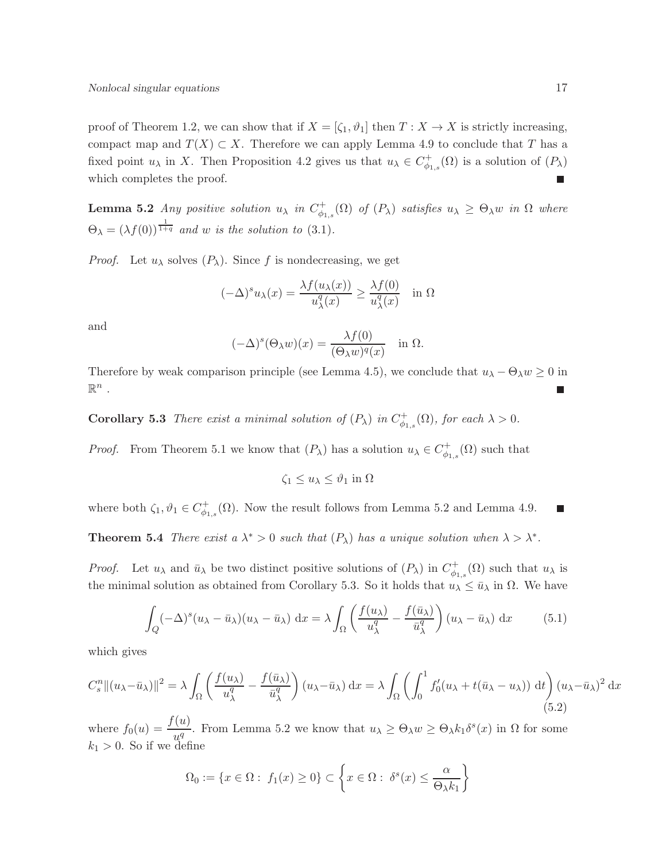proof of Theorem 1.2, we can show that if  $X = [\zeta_1, \vartheta_1]$  then  $T : X \to X$  is strictly increasing, compact map and  $T(X) \subset X$ . Therefore we can apply Lemma 4.9 to conclude that T has a fixed point  $u_{\lambda}$  in X. Then Proposition 4.2 gives us that  $u_{\lambda} \in C_{\phi_1}^+$  $\psi_{\phi_{1,s}}^{\dagger}(\Omega)$  is a solution of  $(P_{\lambda})$ which completes the proof.  $\overline{\phantom{a}}$ 

**Lemma 5.2** Any positive solution  $u_{\lambda}$  in  $C_{\phi_1}^+$  $\phi_{\phi_{1,s}}^{+}(\Omega)$  of  $(P_{\lambda})$  satisfies  $u_{\lambda} \geq \Theta_{\lambda} w$  in  $\Omega$  where  $\Theta_{\lambda} = (\lambda f(0))^{\frac{1}{1+q}}$  and w is the solution to (3.1).

*Proof.* Let  $u_{\lambda}$  solves  $(P_{\lambda})$ . Since f is nondecreasing, we get

$$
(-\Delta)^s u_\lambda(x) = \frac{\lambda f(u_\lambda(x))}{u_\lambda^q(x)} \ge \frac{\lambda f(0)}{u_\lambda^q(x)} \quad \text{in } \Omega
$$

and

$$
(-\Delta)^{s}(\Theta_{\lambda}w)(x) = \frac{\lambda f(0)}{(\Theta_{\lambda}w)^{q}(x)} \quad \text{in } \Omega.
$$

Therefore by weak comparison principle (see Lemma 4.5), we conclude that  $u_{\lambda} - \Theta_{\lambda} w \ge 0$  in  $\mathbb{R}^n$ .  $\blacksquare$ 

**Corollary 5.3** There exist a minimal solution of  $(P_\lambda)$  in  $C^+_{\phi_{1,s}}(\Omega)$ , for each  $\lambda > 0$ .

*Proof.* From Theorem 5.1 we know that  $(P_\lambda)$  has a solution  $u_\lambda \in C^+_{\phi_{1,s}}(\Omega)$  such that

$$
\zeta_1 \le u_\lambda \le \vartheta_1 \text{ in } \Omega
$$

where both  $\zeta_1, \vartheta_1 \in C_{\phi_1}^+$  $^+_{\phi_{1,s}}(\Omega)$ . Now the result follows from Lemma 5.2 and Lemma 4.9.

**Theorem 5.4** There exist a  $\lambda^* > 0$  such that  $(P_{\lambda})$  has a unique solution when  $\lambda > \lambda^*$ .

*Proof.* Let  $u_\lambda$  and  $\bar{u}_\lambda$  be two distinct positive solutions of  $(P_\lambda)$  in  $C_{\phi_{1,s}}^+(\Omega)$  such that  $u_\lambda$  is the minimal solution as obtained from Corollary 5.3. So it holds that  $u_{\lambda} \leq \bar{u}_{\lambda}$  in  $\Omega$ . We have

$$
\int_{Q} (-\Delta)^{s} (u_{\lambda} - \bar{u}_{\lambda}) (u_{\lambda} - \bar{u}_{\lambda}) dx = \lambda \int_{\Omega} \left( \frac{f(u_{\lambda})}{u_{\lambda}^{q}} - \frac{f(\bar{u}_{\lambda})}{\bar{u}_{\lambda}^{q}} \right) (u_{\lambda} - \bar{u}_{\lambda}) dx \qquad (5.1)
$$

which gives

$$
C_s^n \|(u_\lambda - \bar{u}_\lambda)\|^2 = \lambda \int_{\Omega} \left(\frac{f(u_\lambda)}{u_\lambda^q} - \frac{f(\bar{u}_\lambda)}{\bar{u}_\lambda^q}\right) (u_\lambda - \bar{u}_\lambda) dx = \lambda \int_{\Omega} \left(\int_0^1 f_0'(u_\lambda + t(\bar{u}_\lambda - u_\lambda)) dt\right) (u_\lambda - \bar{u}_\lambda)^2 dx
$$
\n(5.2)

where  $f_0(u) = \frac{f(u)}{u^q}$ . From Lemma 5.2 we know that  $u_\lambda \geq \Theta_\lambda w \geq \Theta_\lambda k_1 \delta^s(x)$  in  $\Omega$  for some  $k_1 > 0$ . So if we define

$$
\Omega_0 := \{ x \in \Omega : f_1(x) \ge 0 \} \subset \left\{ x \in \Omega : \delta^s(x) \le \frac{\alpha}{\Theta_\lambda k_1} \right\}
$$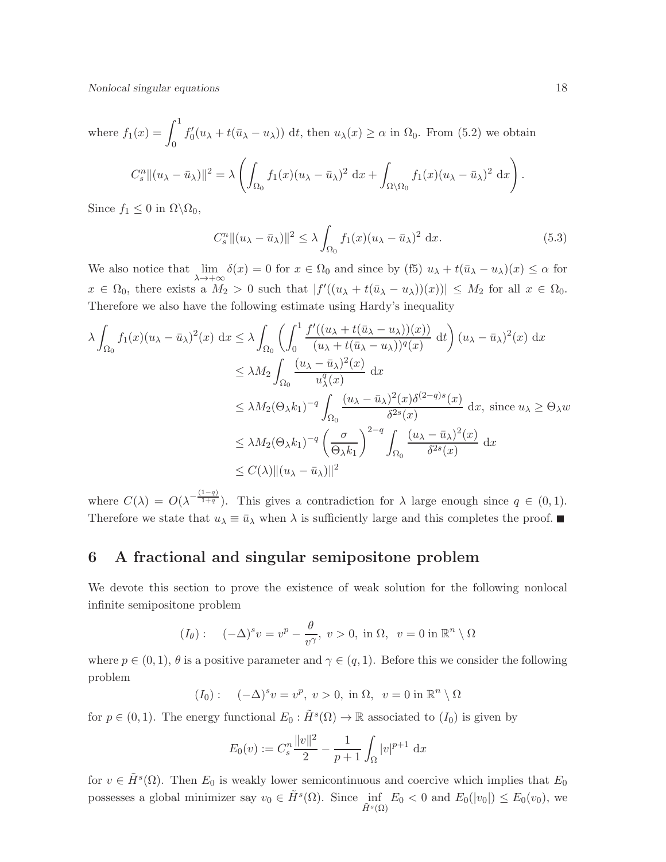Nonlocal singular equations 18

where 
$$
f_1(x) = \int_0^1 f'_0(u_\lambda + t(\bar{u}_\lambda - u_\lambda)) dt
$$
, then  $u_\lambda(x) \ge \alpha$  in  $\Omega_0$ . From (5.2) we obtain

$$
C_s^n||(u_\lambda - \bar{u}_\lambda)||^2 = \lambda \left( \int_{\Omega_0} f_1(x)(u_\lambda - \bar{u}_\lambda)^2 dx + \int_{\Omega \setminus \Omega_0} f_1(x)(u_\lambda - \bar{u}_\lambda)^2 dx \right).
$$

Since  $f_1 \leq 0$  in  $\Omega \backslash \Omega_0$ ,

$$
C_s^n \|(u_\lambda - \bar{u}_\lambda)\|^2 \le \lambda \int_{\Omega_0} f_1(x)(u_\lambda - \bar{u}_\lambda)^2 dx. \tag{5.3}
$$

We also notice that  $\lim_{\lambda \to +\infty} \delta(x) = 0$  for  $x \in \Omega_0$  and since by (f5)  $u_\lambda + t(\bar{u}_\lambda - u_\lambda)(x) \leq \alpha$  for  $x \in \Omega_0$ , there exists a  $M_2 > 0$  such that  $|f'((u_\lambda + t(\bar{u}_\lambda - u_\lambda))(x))| \leq M_2$  for all  $x \in \Omega_0$ . Therefore we also have the following estimate using Hardy's inequality

$$
\lambda \int_{\Omega_0} f_1(x)(u_\lambda - \bar{u}_\lambda)^2(x) dx \leq \lambda \int_{\Omega_0} \left( \int_0^1 \frac{f'((u_\lambda + t(\bar{u}_\lambda - u_\lambda))(x))}{(u_\lambda + t(\bar{u}_\lambda - u_\lambda))^q(x)} dt \right) (u_\lambda - \bar{u}_\lambda)^2(x) dx
$$
  
\n
$$
\leq \lambda M_2 \int_{\Omega_0} \frac{(u_\lambda - \bar{u}_\lambda)^2(x)}{u_\lambda^q(x)} dx
$$
  
\n
$$
\leq \lambda M_2(\Theta_\lambda k_1)^{-q} \int_{\Omega_0} \frac{(u_\lambda - \bar{u}_\lambda)^2(x)\delta^{(2-q)s}(x)}{\delta^{2s}(x)} dx, \text{ since } u_\lambda \geq \Theta_\lambda w
$$
  
\n
$$
\leq \lambda M_2(\Theta_\lambda k_1)^{-q} \left( \frac{\sigma}{\Theta_\lambda k_1} \right)^{2-q} \int_{\Omega_0} \frac{(u_\lambda - \bar{u}_\lambda)^2(x)}{\delta^{2s}(x)} dx
$$
  
\n
$$
\leq C(\lambda) ||(u_\lambda - \bar{u}_\lambda)||^2
$$

where  $C(\lambda) = O(\lambda^{-\frac{(1-q)}{1+q}})$ . This gives a contradiction for  $\lambda$  large enough since  $q \in (0,1)$ . Therefore we state that  $u_{\lambda} \equiv \bar{u}_{\lambda}$  when  $\lambda$  is sufficiently large and this completes the proof.

#### 6 A fractional and singular semipositone problem

We devote this section to prove the existence of weak solution for the following nonlocal infinite semipositone problem

$$
(I_{\theta}):
$$
  $(-\Delta)^{s}v = v^{p} - \frac{\theta}{v^{\gamma}}, v > 0$ , in  $\Omega, v = 0$  in  $\mathbb{R}^{n} \setminus \Omega$ 

where  $p \in (0,1)$ ,  $\theta$  is a positive parameter and  $\gamma \in (q,1)$ . Before this we consider the following problem

$$
(I_0): \quad (-\Delta)^s v = v^p, \ v > 0, \text{ in } \Omega, \ v = 0 \text{ in } \mathbb{R}^n \setminus \Omega
$$

for  $p \in (0,1)$ . The energy functional  $E_0 : \tilde{H}^s(\Omega) \to \mathbb{R}$  associated to  $(I_0)$  is given by

$$
E_0(v) := C_s^n \frac{\|v\|^2}{2} - \frac{1}{p+1} \int_{\Omega} |v|^{p+1} \, \mathrm{d}x
$$

for  $v \in \tilde{H}^s(\Omega)$ . Then  $E_0$  is weakly lower semicontinuous and coercive which implies that  $E_0$ possesses a global minimizer say  $v_0 \in \tilde{H}^s(\Omega)$ . Since inf  $\inf_{\tilde{H}^s(\Omega)} E_0 < 0$  and  $E_0(|v_0|) \le E_0(v_0)$ , we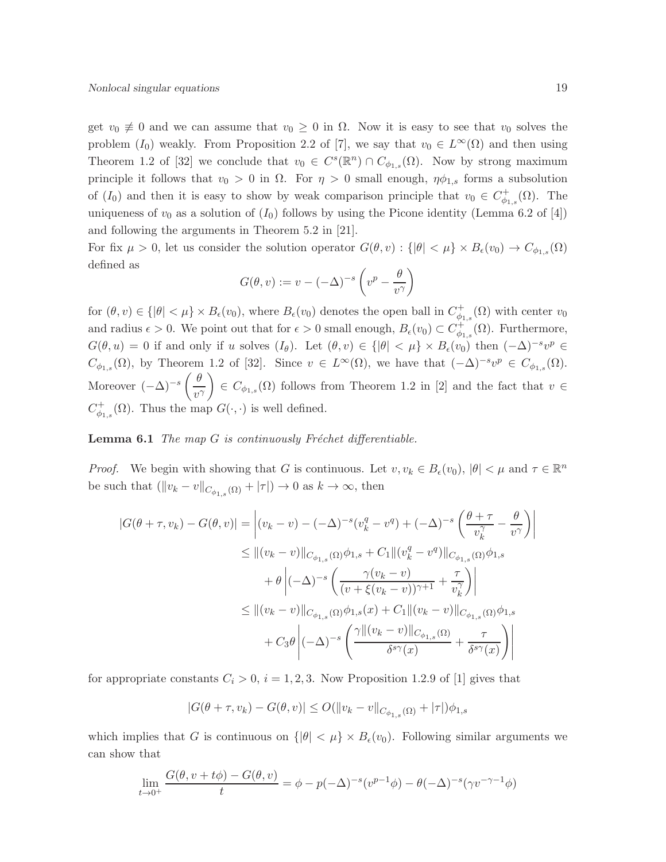get  $v_0 \neq 0$  and we can assume that  $v_0 \geq 0$  in  $\Omega$ . Now it is easy to see that  $v_0$  solves the problem  $(I_0)$  weakly. From Proposition 2.2 of [7], we say that  $v_0 \in L^{\infty}(\Omega)$  and then using Theorem 1.2 of [32] we conclude that  $v_0 \in C^s(\mathbb{R}^n) \cap C_{\phi_{1,s}}(\Omega)$ . Now by strong maximum principle it follows that  $v_0 > 0$  in  $\Omega$ . For  $\eta > 0$  small enough,  $\eta \phi_{1,s}$  forms a subsolution of  $(I_0)$  and then it is easy to show by weak comparison principle that  $v_0 \in C_{\phi_{1,s}}^+(\Omega)$ . The uniqueness of  $v_0$  as a solution of  $(I_0)$  follows by using the Picone identity (Lemma 6.2 of [4]) and following the arguments in Theorem 5.2 in [21].

For fix  $\mu > 0$ , let us consider the solution operator  $G(\theta, v) : \{ |\theta| < \mu \} \times B_{\epsilon}(v_0) \to C_{\phi_{1,s}}(\Omega)$ defined as

$$
G(\theta, v) := v - (-\Delta)^{-s} \left( v^p - \frac{\theta}{v^{\gamma}} \right)
$$

for  $(\theta, v) \in \{ |\theta| < \mu \} \times B_{\epsilon}(v_0)$ , where  $B_{\epsilon}(v_0)$  denotes the open ball in  $C_{\phi_1}^+$  $\psi_{1,s}^+(\Omega)$  with center  $v_0$ and radius  $\epsilon > 0$ . We point out that for  $\epsilon > 0$  small enough,  $B_{\epsilon}(v_0) \subset C_{\phi_1}^+$  $\varphi_{1,s}^+(\Omega)$ . Furthermore,  $G(\theta, u) = 0$  if and only if u solves  $(I_{\theta})$ . Let  $(\theta, v) \in {\vert \theta \vert < \mu} \times B_{\epsilon}(v_0)$  then  $(-\Delta)^{-s}v^p \in$  $C_{\phi_{1,s}}(\Omega)$ , by Theorem 1.2 of [32]. Since  $v \in L^{\infty}(\Omega)$ , we have that  $(-\Delta)^{-s}v^p \in C_{\phi_{1,s}}(\Omega)$ . Moreover  $(-\Delta)^{-s} \left( \frac{\theta}{\epsilon} \right)$  $v^{\gamma}$  $\Big\} \in C_{\phi_{1,s}}(\Omega)$  follows from Theorem 1.2 in [2] and the fact that  $v \in$  $C_{\phi_1}^+$  $\phi_{\phi_{1,s}}^{\dagger}(\Omega)$ . Thus the map  $G(\cdot, \cdot)$  is well defined.

**Lemma 6.1** The map  $G$  is continuously Fréchet differentiable.

*Proof.* We begin with showing that G is continuous. Let  $v, v_k \in B_{\epsilon}(v_0), |\theta| < \mu$  and  $\tau \in \mathbb{R}^n$ be such that  $(\|v_k - v\|_{C_{\phi_{1,s}}(\Omega)} + |\tau|) \to 0$  as  $k \to \infty$ , then

$$
|G(\theta + \tau, v_k) - G(\theta, v)| = \left| (v_k - v) - (-\Delta)^{-s} (v_k^q - v^q) + (-\Delta)^{-s} \left( \frac{\theta + \tau}{v_k^{\gamma}} - \frac{\theta}{v^{\gamma}} \right) \right|
$$
  
\n
$$
\leq ||(v_k - v)||_{C_{\phi_{1,s}}(\Omega)} \phi_{1,s} + C_1 ||(v_k^q - v^q)||_{C_{\phi_{1,s}}(\Omega)} \phi_{1,s}
$$
  
\n
$$
+ \theta \left| (-\Delta)^{-s} \left( \frac{\gamma(v_k - v)}{(v + \xi(v_k - v))^{\gamma + 1}} + \frac{\tau}{v_k^{\gamma}} \right) \right|
$$
  
\n
$$
\leq ||(v_k - v)||_{C_{\phi_{1,s}}(\Omega)} \phi_{1,s}(x) + C_1 ||(v_k - v)||_{C_{\phi_{1,s}}(\Omega)} \phi_{1,s}
$$
  
\n
$$
+ C_3 \theta \left| (-\Delta)^{-s} \left( \frac{\gamma ||(v_k - v)||_{C_{\phi_{1,s}}(\Omega)}}{\delta^{s\gamma}(x)} + \frac{\tau}{\delta^{s\gamma}(x)} \right) \right|
$$

for appropriate constants  $C_i > 0$ ,  $i = 1, 2, 3$ . Now Proposition 1.2.9 of [1] gives that

$$
|G(\theta + \tau, v_k) - G(\theta, v)| \le O(||v_k - v||_{C_{\phi_{1,s}}(\Omega)} + |\tau|)\phi_{1,s}
$$

which implies that G is continuous on  $\{|\theta| < \mu\} \times B_{\epsilon}(v_0)$ . Following similar arguments we can show that

$$
\lim_{t \to 0^+} \frac{G(\theta, v + t\phi) - G(\theta, v)}{t} = \phi - p(-\Delta)^{-s} (v^{p-1}\phi) - \theta(-\Delta)^{-s} (\gamma v^{-\gamma - 1}\phi)
$$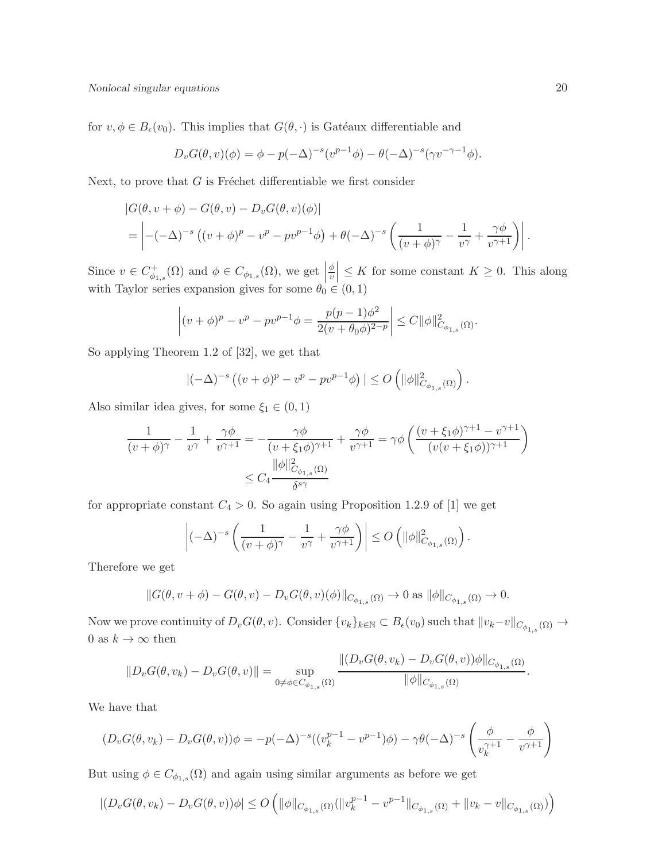for  $v, \phi \in B_{\epsilon}(v_0)$ . This implies that  $G(\theta, \cdot)$  is Gatéaux differentiable and

$$
D_v G(\theta, v)(\phi) = \phi - p(-\Delta)^{-s} (v^{p-1}\phi) - \theta(-\Delta)^{-s} (\gamma v^{-\gamma - 1}\phi).
$$

Next, to prove that  $G$  is Fréchet differentiable we first consider

$$
\begin{split} &|G(\theta, v + \phi) - G(\theta, v) - D_v G(\theta, v)(\phi)| \\ &= \left| -(-\Delta)^{-s} \left( (v + \phi)^p - v^p - pv^{p-1}\phi \right) + \theta (-\Delta)^{-s} \left( \frac{1}{(v + \phi)^{\gamma}} - \frac{1}{v^{\gamma}} + \frac{\gamma \phi}{v^{\gamma+1}} \right) \right|. \end{split}
$$

Since  $v \in C_{\phi_1}^+$  $\phi_{1,s}^+(\Omega)$  and  $\phi \in C_{\phi_{1,s}}(\Omega)$ , we get φ  $\left|\frac{\phi}{v}\right| \leq K$  for some constant  $K \geq 0$ . This along with Taylor series expansion gives for some  $\theta_0 \in (0,1)$ 

$$
\left| (v + \phi)^p - v^p - pv^{p-1}\phi \right| = \frac{p(p-1)\phi^2}{2(v + \theta_0 \phi)^{2-p}} \right| \le C \|\phi\|_{C_{\phi_{1,s}}(\Omega)}^2.
$$

So applying Theorem 1.2 of [32], we get that

$$
\left|(-\Delta)^{-s}\left((v+\phi)^p - v^p - pv^{p-1}\phi\right)\right| \le O\left(\|\phi\|_{C_{\phi_{1,s}}(\Omega)}^2\right)
$$

.

Also similar idea gives, for some  $\xi_1 \in (0,1)$ 

$$
\frac{1}{(v+\phi)^{\gamma}} - \frac{1}{v^{\gamma}} + \frac{\gamma\phi}{v^{\gamma+1}} = -\frac{\gamma\phi}{(v+\xi_1\phi)^{\gamma+1}} + \frac{\gamma\phi}{v^{\gamma+1}} = \gamma\phi \left( \frac{(v+\xi_1\phi)^{\gamma+1} - v^{\gamma+1}}{(v(v+\xi_1\phi))^{\gamma+1}} \right)
$$

$$
\leq C_4 \frac{\|\phi\|_{C_{\phi_{1,s}}(\Omega)}^2}{\delta^{s\gamma}}
$$

for appropriate constant  $C_4 > 0$ . So again using Proposition 1.2.9 of [1] we get

$$
\left|(-\Delta)^{-s}\left(\frac{1}{(v+\phi)^{\gamma}}-\frac{1}{v^{\gamma}}+\frac{\gamma\phi}{v^{\gamma+1}}\right)\right|\leq O\left(\|\phi\|_{C_{\phi_{1,s}}(\Omega)}^2\right).
$$

Therefore we get

$$
||G(\theta, v + \phi) - G(\theta, v) - D_v G(\theta, v)(\phi)||_{C_{\phi_{1,s}}(\Omega)} \to 0 \text{ as } ||\phi||_{C_{\phi_{1,s}}(\Omega)} \to 0.
$$

Now we prove continuity of  $D_v G(\theta, v)$ . Consider  $\{v_k\}_{k\in\mathbb{N}} \subset B_{\epsilon}(v_0)$  such that  $||v_k-v||_{C_{\phi_{1,s}}(\Omega)} \to$ 0 as  $k \to \infty$  then

$$
||D_vG(\theta, v_k) - D_vG(\theta, v)|| = \sup_{0 \neq \phi \in C_{\phi_{1,s}}(\Omega)} \frac{||(D_vG(\theta, v_k) - D_vG(\theta, v))\phi||_{C_{\phi_{1,s}}(\Omega)}}{||\phi||_{C_{\phi_{1,s}}(\Omega)}}.
$$

We have that

$$
(D_v G(\theta, v_k) - D_v G(\theta, v))\phi = -p(-\Delta)^{-s}((v_k^{p-1} - v^{p-1})\phi) - \gamma \theta(-\Delta)^{-s} \left(\frac{\phi}{v_k^{\gamma+1}} - \frac{\phi}{v^{\gamma+1}}\right)
$$

But using  $\phi \in C_{\phi_{1,s}}(\Omega)$  and again using similar arguments as before we get

$$
|(D_v G(\theta, v_k) - D_v G(\theta, v))\phi| \le O\left(||\phi||_{C_{\phi_{1,s}}(\Omega)} (||v_k^{p-1} - v^{p-1}||_{C_{\phi_{1,s}}(\Omega)} + ||v_k - v||_{C_{\phi_{1,s}}(\Omega)})\right)
$$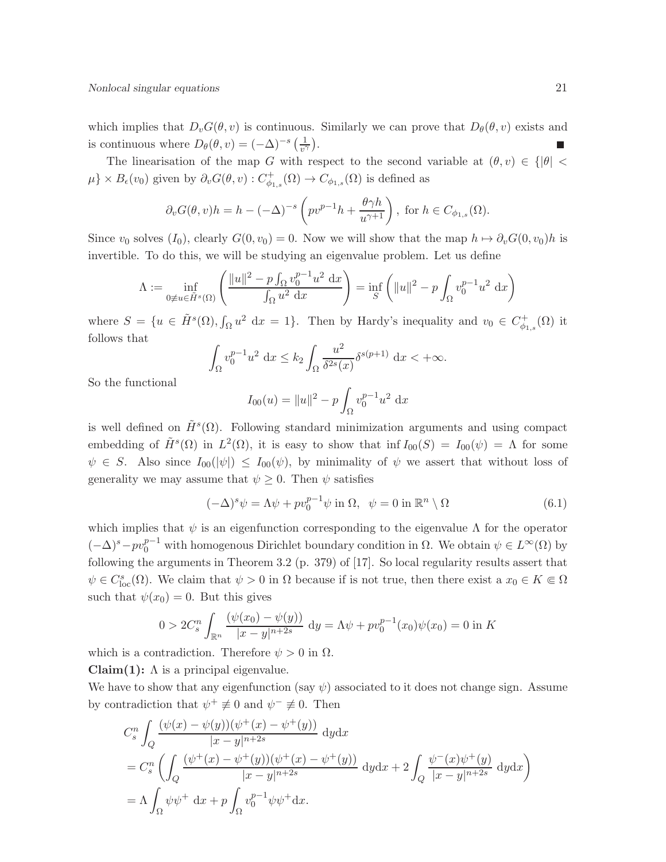which implies that  $D_vG(\theta, v)$  is continuous. Similarly we can prove that  $D_\theta(\theta, v)$  exists and is continuous where  $D_{\theta}(\theta, v) = (-\Delta)^{-s} \left( \frac{1}{v^{\gamma}} \right)$ .

The linearisation of the map G with respect to the second variable at  $(\theta, v) \in \{|\theta|$  $\mu$ } ×  $B_{\epsilon}(v_0)$  given by  $\partial_v G(\theta, v) : C^+_{\phi_{1,s}}(\Omega) \to C_{\phi_{1,s}}(\Omega)$  is defined as

$$
\partial_v G(\theta, v)h = h - (-\Delta)^{-s} \left( p v^{p-1} h + \frac{\theta \gamma h}{u^{\gamma+1}} \right), \text{ for } h \in C_{\phi_{1,s}}(\Omega).
$$

Since  $v_0$  solves  $(I_0)$ , clearly  $G(0, v_0) = 0$ . Now we will show that the map  $h \mapsto \partial_v G(0, v_0)h$  is invertible. To do this, we will be studying an eigenvalue problem. Let us define

$$
\Lambda := \inf_{0 \neq u \in \tilde{H}^s(\Omega)} \left( \frac{\|u\|^2 - p \int_{\Omega} v_0^{p-1} u^2 \, dx}{\int_{\Omega} u^2 \, dx} \right) = \inf_{S} \left( \|u\|^2 - p \int_{\Omega} v_0^{p-1} u^2 \, dx \right)
$$

where  $S = \{u \in \tilde{H}^s(\Omega), \int_{\Omega} u^2 \, dx = 1\}$ . Then by Hardy's inequality and  $v_0 \in C_{\phi_1}^+$  $\ ^{^{\prime}+}_{\phi_{1,s}}(\Omega)$  it follows that

$$
\int_{\Omega} v_0^{p-1} u^2 \, \mathrm{d}x \le k_2 \int_{\Omega} \frac{u^2}{\delta^{2s}(x)} \delta^{s(p+1)} \, \mathrm{d}x < +\infty.
$$

So the functional

$$
I_{00}(u) = ||u||^2 - p \int_{\Omega} v_0^{p-1} u^2 dx
$$

is well defined on  $\tilde{H}^s(\Omega)$ . Following standard minimization arguments and using compact embedding of  $\tilde{H}^s(\Omega)$  in  $L^2(\Omega)$ , it is easy to show that inf  $I_{00}(S) = I_{00}(\psi) = \Lambda$  for some  $\psi \in S$ . Also since  $I_{00}(\psi) \leq I_{00}(\psi)$ , by minimality of  $\psi$  we assert that without loss of generality we may assume that  $\psi \geq 0$ . Then  $\psi$  satisfies

$$
(-\Delta)^s \psi = \Lambda \psi + p v_0^{p-1} \psi \text{ in } \Omega, \ \ \psi = 0 \text{ in } \mathbb{R}^n \setminus \Omega \tag{6.1}
$$

which implies that  $\psi$  is an eigenfunction corresponding to the eigenvalue  $\Lambda$  for the operator  $(-\Delta)^s - pv_0^{p-1}$  with homogenous Dirichlet boundary condition in  $\Omega$ . We obtain  $\psi \in L^{\infty}(\Omega)$  by following the arguments in Theorem 3.2 (p. 379) of [17]. So local regularity results assert that  $\psi \in C^s_{loc}(\Omega)$ . We claim that  $\psi > 0$  in  $\Omega$  because if is not true, then there exist a  $x_0 \in K \subseteq \Omega$ such that  $\psi(x_0) = 0$ . But this gives

$$
0 > 2C_s^n \int_{\mathbb{R}^n} \frac{(\psi(x_0) - \psi(y))}{|x - y|^{n+2s}} dy = \Lambda \psi + p v_0^{p-1}(x_0) \psi(x_0) = 0
$$
in K

which is a contradiction. Therefore  $\psi > 0$  in  $\Omega$ .

Claim(1):  $\Lambda$  is a principal eigenvalue.

We have to show that any eigenfunction (say  $\psi$ ) associated to it does not change sign. Assume by contradiction that  $\psi^+ \not\equiv 0$  and  $\psi^- \not\equiv 0$ . Then

$$
C_s^n \int_Q \frac{(\psi(x) - \psi(y))(\psi^+(x) - \psi^+(y))}{|x - y|^{n+2s}} dydx
$$
  
=  $C_s^n \left( \int_Q \frac{(\psi^+(x) - \psi^+(y))(\psi^+(x) - \psi^+(y))}{|x - y|^{n+2s}} dydx + 2 \int_Q \frac{\psi^-(x)\psi^+(y)}{|x - y|^{n+2s}} dydx \right)$   
=  $\Lambda \int_\Omega \psi \psi^+ dx + p \int_\Omega v_0^{p-1} \psi \psi^+ dx.$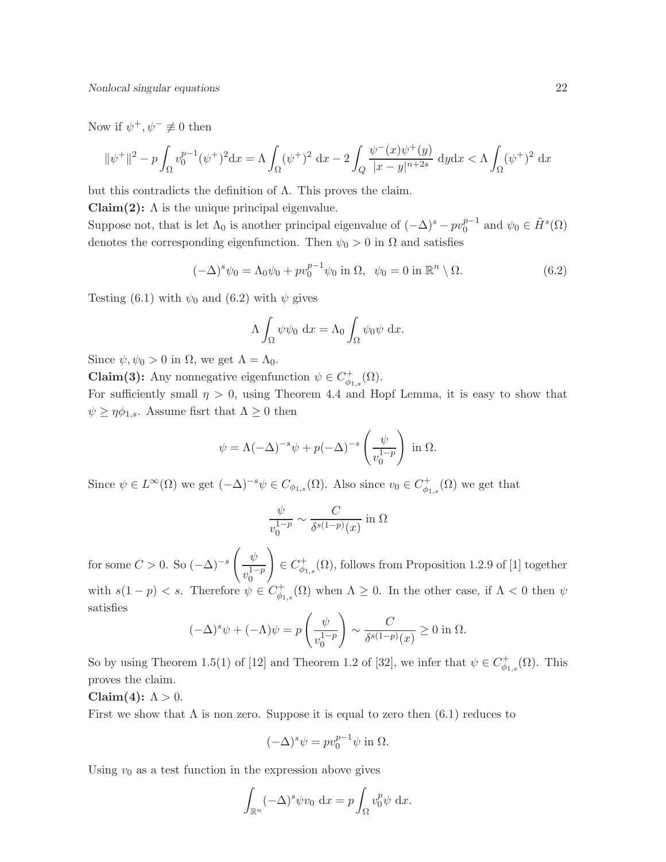Nonlocal singular equations 22

Now if  $\psi^+, \psi^- \not\equiv 0$  then

$$
\|\psi^+\|^2 - p \int_{\Omega} v_0^{p-1} (\psi^+)^2 dx = \Lambda \int_{\Omega} (\psi^+)^2 dx - 2 \int_{Q} \frac{\psi^-(x)\psi^+(y)}{|x - y|^{n+2s}} dy dx < \Lambda \int_{\Omega} (\psi^+)^2 dx
$$

but this contradicts the definition of Λ. This proves the claim.

Claim(2):  $\Lambda$  is the unique principal eigenvalue.

Suppose not, that is let  $\Lambda_0$  is another principal eigenvalue of  $(-\Delta)^s - pv_0^{p-1}$  $_{0}^{p-1}$  and  $\psi_{0} \in \tilde{H}^{s}(\Omega)$ denotes the corresponding eigenfunction. Then  $\psi_0 > 0$  in  $\Omega$  and satisfies

$$
(-\Delta)^s \psi_0 = \Lambda_0 \psi_0 + p v_0^{p-1} \psi_0 \text{ in } \Omega, \ \ \psi_0 = 0 \text{ in } \mathbb{R}^n \setminus \Omega. \tag{6.2}
$$

Testing (6.1) with  $\psi_0$  and (6.2) with  $\psi$  gives

$$
\Lambda \int_{\Omega} \psi \psi_0 \, dx = \Lambda_0 \int_{\Omega} \psi_0 \psi \, dx.
$$

Since  $\psi, \psi_0 > 0$  in  $\Omega$ , we get  $\Lambda = \Lambda_0$ .

**Claim(3):** Any nonnegative eigenfunction  $\psi \in C^+_{\phi_{1,s}}(\Omega)$ .

For sufficiently small  $\eta > 0$ , using Theorem 4.4 and Hopf Lemma, it is easy to show that  $\psi \geq \eta \phi_{1,s}$ . Assume fisrt that  $\Lambda \geq 0$  then

$$
\psi = \Lambda(-\Delta)^{-s}\psi + p(-\Delta)^{-s}\left(\frac{\psi}{v_0^{1-p}}\right) \text{ in } \Omega.
$$

Since  $\psi \in L^{\infty}(\Omega)$  we get  $(-\Delta)^{-s} \psi \in C_{\phi_{1,s}}(\Omega)$ . Also since  $v_0 \in C_{\phi_1}^+$  $\varphi_{1,s}^{\dagger}(\Omega)$  we get that

$$
\frac{\psi}{v_0^{1-p}} \sim \frac{C}{\delta^{s(1-p)}(x)} \text{ in } \Omega
$$

for some  $C > 0$ . So  $(-\Delta)^{-s}$  $\int \psi$  $v_0^{1-p}$ 0  $\setminus$  $\in C_{\phi_{1,s}}^+(\Omega)$ , follows from Proposition 1.2.9 of [1] together with  $s(1-p) < s$ . Therefore  $\psi \in C_{\phi}^+$  $\psi_{\phi_{1,s}}^{\dagger}(\Omega)$  when  $\Lambda \geq 0$ . In the other case, if  $\Lambda < 0$  then  $\psi$ satisfies

$$
(-\Delta)^s \psi + (-\Lambda)\psi = p\left(\frac{\psi}{v_0^{1-p}}\right) \sim \frac{C}{\delta^{s(1-p)}(x)} \ge 0 \text{ in } \Omega.
$$

So by using Theorem 1.5(1) of [12] and Theorem 1.2 of [32], we infer that  $\psi \in C_{\phi_{1,s}}^+(\Omega)$ . This proves the claim.

#### Claim(4):  $\Lambda > 0$ .

First we show that  $\Lambda$  is non zero. Suppose it is equal to zero then (6.1) reduces to

$$
(-\Delta)^s \psi = p v_0^{p-1} \psi \text{ in } \Omega.
$$

Using  $v_0$  as a test function in the expression above gives

$$
\int_{\mathbb{R}^n} (-\Delta)^s \psi v_0 \, \mathrm{d}x = p \int_{\Omega} v_0^p \psi \, \mathrm{d}x.
$$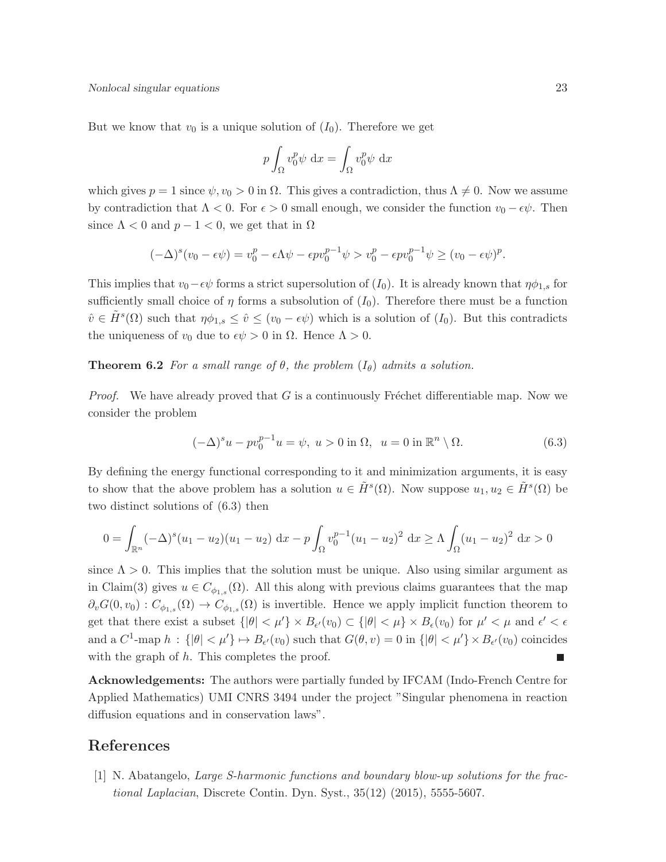But we know that  $v_0$  is a unique solution of  $(I_0)$ . Therefore we get

$$
p \int_{\Omega} v_0^p \psi \, \mathrm{d}x = \int_{\Omega} v_0^p \psi \, \mathrm{d}x
$$

which gives  $p = 1$  since  $\psi, v_0 > 0$  in  $\Omega$ . This gives a contradiction, thus  $\Lambda \neq 0$ . Now we assume by contradiction that  $\Lambda < 0$ . For  $\epsilon > 0$  small enough, we consider the function  $v_0 - \epsilon \psi$ . Then since  $\Lambda < 0$  and  $p - 1 < 0$ , we get that in  $\Omega$ 

$$
(-\Delta)^{s}(v_0-\epsilon\psi)=v_0^p-\epsilon\Lambda\psi-\epsilon pv_0^{p-1}\psi>v_0^p-\epsilon pv_0^{p-1}\psi\geq (v_0-\epsilon\psi)^p.
$$

This implies that  $v_0 - \epsilon \psi$  forms a strict supersolution of  $(I_0)$ . It is already known that  $\eta \phi_{1,s}$  for sufficiently small choice of  $\eta$  forms a subsolution of  $(I_0)$ . Therefore there must be a function  $\hat{v} \in \tilde{H}^s(\Omega)$  such that  $\eta \phi_{1,s} \leq \hat{v} \leq (v_0 - \epsilon \psi)$  which is a solution of  $(I_0)$ . But this contradicts the uniqueness of  $v_0$  due to  $\epsilon \psi > 0$  in  $\Omega$ . Hence  $\Lambda > 0$ .

**Theorem 6.2** For a small range of  $\theta$ , the problem  $(I_{\theta})$  admits a solution.

*Proof.* We have already proved that G is a continuously Fréchet differentiable map. Now we consider the problem

$$
(-\Delta)^s u - p v_0^{p-1} u = \psi, \ u > 0 \text{ in } \Omega, \ u = 0 \text{ in } \mathbb{R}^n \setminus \Omega. \tag{6.3}
$$

By defining the energy functional corresponding to it and minimization arguments, it is easy to show that the above problem has a solution  $u \in \tilde{H}^s(\Omega)$ . Now suppose  $u_1, u_2 \in \tilde{H}^s(\Omega)$  be two distinct solutions of (6.3) then

$$
0 = \int_{\mathbb{R}^n} (-\Delta)^s (u_1 - u_2)(u_1 - u_2) dx - p \int_{\Omega} v_0^{p-1} (u_1 - u_2)^2 dx \ge \Lambda \int_{\Omega} (u_1 - u_2)^2 dx > 0
$$

since  $\Lambda > 0$ . This implies that the solution must be unique. Also using similar argument as in Claim(3) gives  $u \in C_{\phi_{1,s}}(\Omega)$ . All this along with previous claims guarantees that the map  $\partial_v G(0, v_0) : C_{\phi_{1,s}}(\Omega) \to C_{\phi_{1,s}}(\Omega)$  is invertible. Hence we apply implicit function theorem to get that there exist a subset  $\{|\theta| < \mu'\} \times B_{\epsilon'}(v_0) \subset \{|\theta| < \mu\} \times B_{\epsilon}(v_0)$  for  $\mu' < \mu$  and  $\epsilon' < \epsilon$ and a  $C^1$ -map  $h: \{|\theta| < \mu'\} \mapsto B_{\epsilon'}(v_0)$  such that  $G(\theta, v) = 0$  in  $\{|\theta| < \mu'\}\times B_{\epsilon'}(v_0)$  coincides with the graph of  $h$ . This completes the proof.

Acknowledgements: The authors were partially funded by IFCAM (Indo-French Centre for Applied Mathematics) UMI CNRS 3494 under the project "Singular phenomena in reaction diffusion equations and in conservation laws".

## References

[1] N. Abatangelo, Large S-harmonic functions and boundary blow-up solutions for the fractional Laplacian, Discrete Contin. Dyn. Syst., 35(12) (2015), 5555-5607.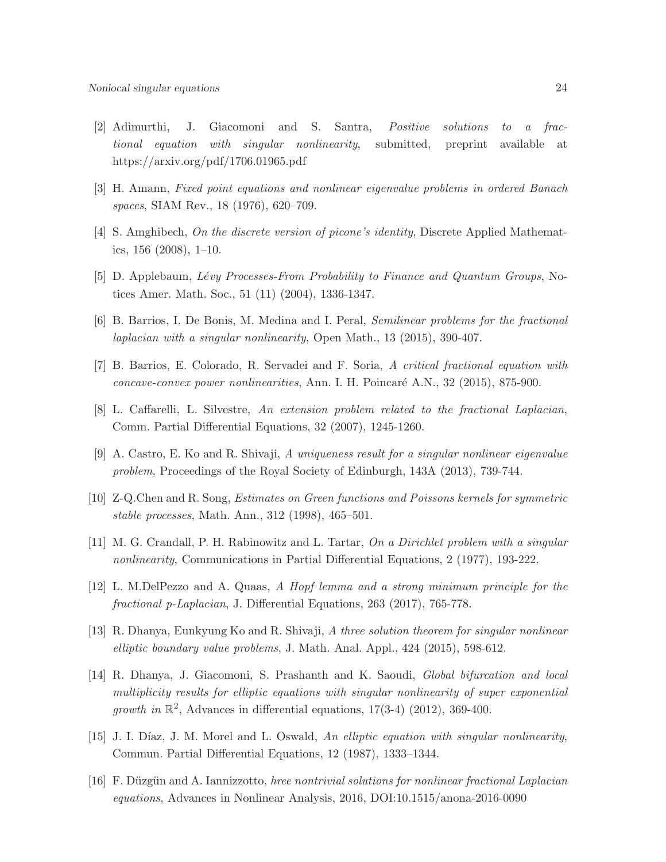- [2] Adimurthi, J. Giacomoni and S. Santra, Positive solutions to a fractional equation with singular nonlinearity, submitted, preprint available at https://arxiv.org/pdf/1706.01965.pdf
- [3] H. Amann, Fixed point equations and nonlinear eigenvalue problems in ordered Banach spaces, SIAM Rev., 18 (1976), 620–709.
- [4] S. Amghibech, On the discrete version of picone's identity, Discrete Applied Mathematics, 156 (2008), 1–10.
- [5] D. Applebaum, Lévy Processes-From Probability to Finance and Quantum Groups, Notices Amer. Math. Soc., 51 (11) (2004), 1336-1347.
- [6] B. Barrios, I. De Bonis, M. Medina and I. Peral, Semilinear problems for the fractional laplacian with a singular nonlinearity, Open Math., 13 (2015), 390-407.
- [7] B. Barrios, E. Colorado, R. Servadei and F. Soria, A critical fractional equation with concave-convex power nonlinearities, Ann. I. H. Poincaré A.N., 32 (2015), 875-900.
- [8] L. Caffarelli, L. Silvestre, An extension problem related to the fractional Laplacian, Comm. Partial Differential Equations, 32 (2007), 1245-1260.
- [9] A. Castro, E. Ko and R. Shivaji, A uniqueness result for a singular nonlinear eigenvalue problem, Proceedings of the Royal Society of Edinburgh, 143A (2013), 739-744.
- [10] Z-Q.Chen and R. Song, Estimates on Green functions and Poissons kernels for symmetric stable processes, Math. Ann., 312 (1998), 465–501.
- [11] M. G. Crandall, P. H. Rabinowitz and L. Tartar, On a Dirichlet problem with a singular nonlinearity, Communications in Partial Differential Equations, 2 (1977), 193-222.
- [12] L. M.DelPezzo and A. Quaas, A Hopf lemma and a strong minimum principle for the fractional p-Laplacian, J. Differential Equations, 263 (2017), 765-778.
- [13] R. Dhanya, Eunkyung Ko and R. Shivaji, A three solution theorem for singular nonlinear elliptic boundary value problems, J. Math. Anal. Appl., 424 (2015), 598-612.
- [14] R. Dhanya, J. Giacomoni, S. Prashanth and K. Saoudi, Global bifurcation and local multiplicity results for elliptic equations with singular nonlinearity of super exponential growth in  $\mathbb{R}^2$ , Advances in differential equations, 17(3-4) (2012), 369-400.
- [15] J. I. Díaz, J. M. Morel and L. Oswald, An elliptic equation with singular nonlinearity, Commun. Partial Differential Equations, 12 (1987), 1333–1344.
- [16] F. Düzgün and A. Iannizzotto, hree nontrivial solutions for nonlinear fractional Laplacian equations, Advances in Nonlinear Analysis, 2016, DOI:10.1515/anona-2016-0090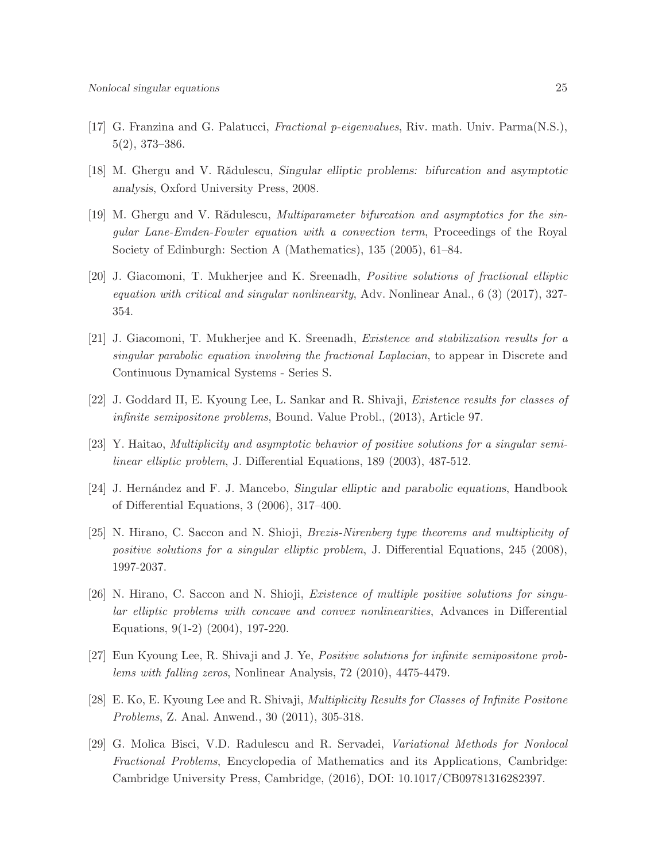- [17] G. Franzina and G. Palatucci, Fractional p-eigenvalues, Riv. math. Univ. Parma(N.S.), 5(2), 373–386.
- [18] M. Ghergu and V. Rădulescu, Singular elliptic problems: bifurcation and asymptotic analysis, Oxford University Press, 2008.
- [19] M. Ghergu and V. Rădulescu, *Multiparameter bifurcation and asymptotics for the sin*gular Lane-Emden-Fowler equation with a convection term, Proceedings of the Royal Society of Edinburgh: Section A (Mathematics), 135 (2005), 61–84.
- [20] J. Giacomoni, T. Mukherjee and K. Sreenadh, Positive solutions of fractional elliptic equation with critical and singular nonlinearity, Adv. Nonlinear Anal., 6 (3) (2017), 327- 354.
- [21] J. Giacomoni, T. Mukherjee and K. Sreenadh, Existence and stabilization results for a singular parabolic equation involving the fractional Laplacian, to appear in Discrete and Continuous Dynamical Systems - Series S.
- [22] J. Goddard II, E. Kyoung Lee, L. Sankar and R. Shivaji, Existence results for classes of infinite semipositone problems, Bound. Value Probl., (2013), Article 97.
- [23] Y. Haitao, Multiplicity and asymptotic behavior of positive solutions for a singular semilinear elliptic problem, J. Differential Equations, 189 (2003), 487-512.
- [24] J. Hernández and F. J. Mancebo, Singular elliptic and parabolic equations, Handbook of Differential Equations, 3 (2006), 317–400.
- [25] N. Hirano, C. Saccon and N. Shioji, Brezis-Nirenberg type theorems and multiplicity of positive solutions for a singular elliptic problem, J. Differential Equations, 245 (2008), 1997-2037.
- [26] N. Hirano, C. Saccon and N. Shioji, Existence of multiple positive solutions for singular elliptic problems with concave and convex nonlinearities, Advances in Differential Equations, 9(1-2) (2004), 197-220.
- [27] Eun Kyoung Lee, R. Shivaji and J. Ye, Positive solutions for infinite semipositone problems with falling zeros, Nonlinear Analysis, 72 (2010), 4475-4479.
- [28] E. Ko, E. Kyoung Lee and R. Shivaji, Multiplicity Results for Classes of Infinite Positone Problems, Z. Anal. Anwend., 30 (2011), 305-318.
- [29] G. Molica Bisci, V.D. Radulescu and R. Servadei, Variational Methods for Nonlocal Fractional Problems, Encyclopedia of Mathematics and its Applications, Cambridge: Cambridge University Press, Cambridge, (2016), DOI: 10.1017/CB09781316282397.